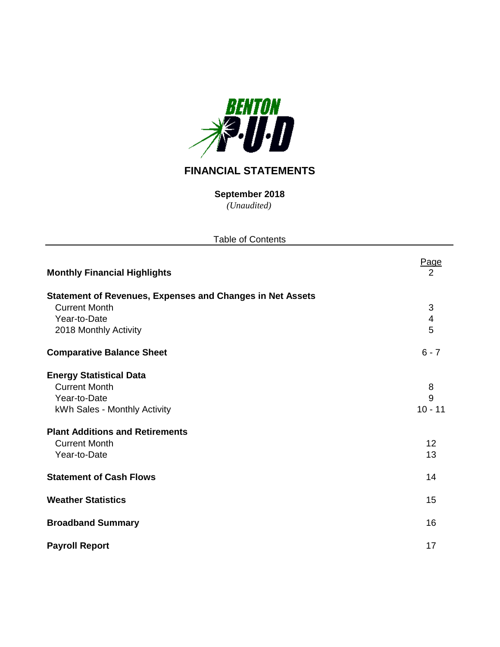

# **FINANCIAL STATEMENTS**

**September 2018**

*(Unaudited)*

| <b>Table of Contents</b>                                         |                         |
|------------------------------------------------------------------|-------------------------|
| <b>Monthly Financial Highlights</b>                              | <u>Page</u><br>2        |
| <b>Statement of Revenues, Expenses and Changes in Net Assets</b> |                         |
| <b>Current Month</b>                                             | $\mathbf{3}$            |
| Year-to-Date                                                     | $\overline{\mathbf{4}}$ |
| 2018 Monthly Activity                                            | 5                       |
| <b>Comparative Balance Sheet</b>                                 | $6 - 7$                 |
| <b>Energy Statistical Data</b>                                   |                         |
| <b>Current Month</b>                                             | 8                       |
| Year-to-Date                                                     | 9                       |
| kWh Sales - Monthly Activity                                     | $10 - 11$               |
| <b>Plant Additions and Retirements</b>                           |                         |
| <b>Current Month</b>                                             | 12                      |
| Year-to-Date                                                     | 13                      |
| <b>Statement of Cash Flows</b>                                   | 14                      |
| <b>Weather Statistics</b>                                        | 15                      |
| <b>Broadband Summary</b>                                         | 16                      |
| <b>Payroll Report</b>                                            | 17                      |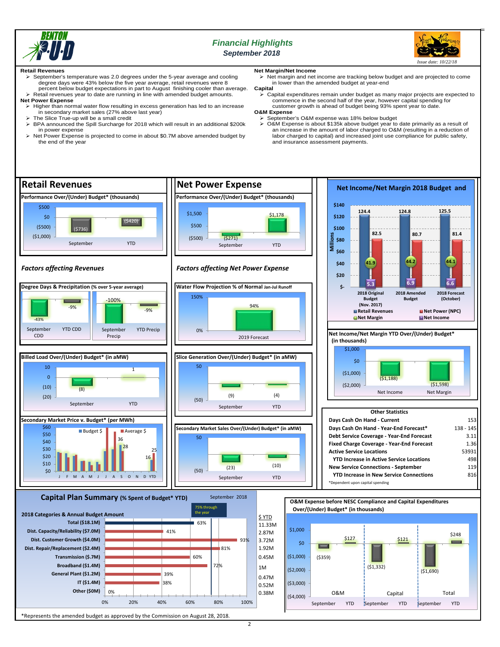

## *Financial Highlights September 2018*



#### **Retail Revenues**

- September's temperature was 2.0 degrees under the 5-year average and cooling degree days were 43% below the five year average, retail revenues were 8 percent below budget expectations in part to August finishing cooler than average.
- $\triangleright$  Retail revenues year to date are running in line with amended budget amounts. **Net Power Expense**
	- $\triangleright$  Higher than normal water flow resulting in excess generation has led to an increase in secondary market sales (27% above last year)
	- $\triangleright$  The Slice True-up will be a small credit  $\triangleright$  BPA announced the Spill Surcharge for BPA announced the Spill Surcharge for 2018 which will result in an additional \$200k
	- in power expense Net Power Expense is projected to come in about \$0.7M above amended budget by
	- the end of the year

## **Net Margin/Net Income**

• margin and net income are tracking below budget and are projected to come in lower than the amended budget at year-end

- **Capital**
- Capital expenditures remain under budget as many major projects are expected to commence in the second half of the year, however capital spending for customer growth is ahead of budget being 93% spent year to date. **O&M Expense**
- September's O&M expense was 18% below budget
- O&M Expense is about \$135k above budget year to date primarily as a result of an increase in the amount of labor charged to O&M (resulting in a reduction of labor charged to capital) and increased joint use compliance for public safety, and insurance assessment payments.



\*Represents the amended budget as approved by the Commission on August 28, 2018.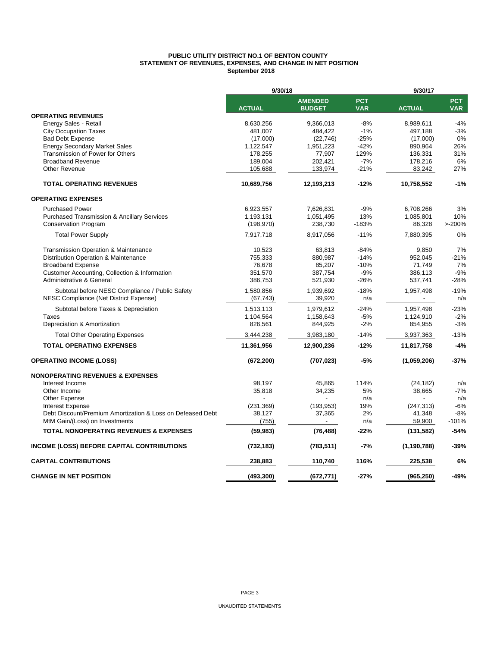#### **PUBLIC UTILITY DISTRICT NO.1 OF BENTON COUNTY STATEMENT OF REVENUES, EXPENSES, AND CHANGE IN NET POSITION September 2018**

|                                                            | 9/30/18       |                                 |                          | 9/30/17       |                          |  |  |
|------------------------------------------------------------|---------------|---------------------------------|--------------------------|---------------|--------------------------|--|--|
|                                                            | <b>ACTUAL</b> | <b>AMENDED</b><br><b>BUDGET</b> | <b>PCT</b><br><b>VAR</b> | <b>ACTUAL</b> | <b>PCT</b><br><b>VAR</b> |  |  |
| <b>OPERATING REVENUES</b>                                  |               |                                 |                          |               |                          |  |  |
| Energy Sales - Retail                                      | 8,630,256     | 9,366,013                       | $-8%$                    | 8,989,611     | $-4%$                    |  |  |
| <b>City Occupation Taxes</b>                               | 481,007       | 484,422                         | $-1%$                    | 497,188       | $-3%$                    |  |  |
| <b>Bad Debt Expense</b>                                    | (17,000)      | (22, 746)                       | $-25%$                   | (17,000)      | 0%                       |  |  |
| <b>Energy Secondary Market Sales</b>                       | 1,122,547     | 1,951,223                       | $-42%$                   | 890,964       | 26%                      |  |  |
| Transmission of Power for Others                           | 178,255       | 77,907                          | 129%                     | 136,331       | 31%                      |  |  |
| <b>Broadband Revenue</b>                                   | 189,004       | 202,421                         | $-7%$                    | 178,216       | 6%                       |  |  |
| <b>Other Revenue</b>                                       | 105,688       | 133,974                         | $-21%$                   | 83,242        | 27%                      |  |  |
| <b>TOTAL OPERATING REVENUES</b>                            | 10,689,756    | 12,193,213                      | $-12%$                   | 10,758,552    | $-1%$                    |  |  |
| <b>OPERATING EXPENSES</b>                                  |               |                                 |                          |               |                          |  |  |
| <b>Purchased Power</b>                                     | 6,923,557     | 7,626,831                       | $-9%$                    | 6,708,266     | 3%                       |  |  |
| <b>Purchased Transmission &amp; Ancillary Services</b>     | 1,193,131     | 1,051,495                       | 13%                      | 1,085,801     | 10%                      |  |  |
| <b>Conservation Program</b>                                | (198, 970)    | 238,730                         | $-183%$                  | 86,328        | >200%                    |  |  |
| <b>Total Power Supply</b>                                  | 7,917,718     | 8,917,056                       | $-11%$                   | 7,880,395     | 0%                       |  |  |
| <b>Transmission Operation &amp; Maintenance</b>            | 10,523        | 63,813                          | $-84%$                   | 9,850         | 7%                       |  |  |
| Distribution Operation & Maintenance                       | 755,333       | 880,987                         | $-14%$                   | 952,045       | $-21%$                   |  |  |
| <b>Broadband Expense</b>                                   | 76,678        | 85,207                          | $-10%$                   | 71,749        | 7%                       |  |  |
| Customer Accounting, Collection & Information              | 351,570       | 387,754                         | $-9%$                    | 386,113       | $-9%$                    |  |  |
| <b>Administrative &amp; General</b>                        | 386,753       | 521,930                         | $-26%$                   | 537,741       | $-28%$                   |  |  |
| Subtotal before NESC Compliance / Public Safety            | 1,580,856     | 1,939,692                       | $-18%$                   | 1,957,498     | $-19%$                   |  |  |
| NESC Compliance (Net District Expense)                     | (67, 743)     | 39,920                          | n/a                      |               | n/a                      |  |  |
| Subtotal before Taxes & Depreciation                       | 1,513,113     | 1,979,612                       | $-24%$                   | 1,957,498     | $-23%$                   |  |  |
| Taxes                                                      | 1,104,564     | 1,158,643                       | $-5%$                    | 1,124,910     | $-2%$                    |  |  |
| Depreciation & Amortization                                | 826,561       | 844,925                         | $-2%$                    | 854,955       | $-3%$                    |  |  |
| <b>Total Other Operating Expenses</b>                      | 3,444,238     | 3,983,180                       | $-14%$                   | 3,937,363     | $-13%$                   |  |  |
| <b>TOTAL OPERATING EXPENSES</b>                            | 11,361,956    | 12,900,236                      | $-12%$                   | 11,817,758    | $-4%$                    |  |  |
| <b>OPERATING INCOME (LOSS)</b>                             | (672, 200)    | (707, 023)                      | -5%                      | (1,059,206)   | $-37%$                   |  |  |
| <b>NONOPERATING REVENUES &amp; EXPENSES</b>                |               |                                 |                          |               |                          |  |  |
| Interest Income                                            | 98,197        | 45,865                          | 114%                     | (24, 182)     | n/a                      |  |  |
| Other Income                                               | 35,818        | 34,235                          | 5%                       | 38,665        | $-7%$                    |  |  |
| Other Expense                                              |               |                                 | n/a                      |               | n/a                      |  |  |
| <b>Interest Expense</b>                                    | (231, 369)    | (193, 953)                      | 19%                      | (247, 313)    | $-6%$                    |  |  |
| Debt Discount/Premium Amortization & Loss on Defeased Debt | 38,127        | 37,365                          | 2%                       | 41,348        | -8%                      |  |  |
| MtM Gain/(Loss) on Investments                             | (755)         | $\overline{\phantom{0}}$        | n/a                      | 59,900        | $-101%$                  |  |  |
| <b>TOTAL NONOPERATING REVENUES &amp; EXPENSES</b>          | (59, 983)     | (76, 488)                       | $-22%$                   | (131, 582)    | $-54%$                   |  |  |
| <b>INCOME (LOSS) BEFORE CAPITAL CONTRIBUTIONS</b>          | (732, 183)    | (783, 511)                      | -7%                      | (1, 190, 788) | $-39%$                   |  |  |
| <b>CAPITAL CONTRIBUTIONS</b>                               | 238,883       | 110,740                         | 116%                     | 225,538       | 6%                       |  |  |
| <b>CHANGE IN NET POSITION</b>                              | (493, 300)    | (672, 771)                      | $-27%$                   | (965, 250)    | $-49%$                   |  |  |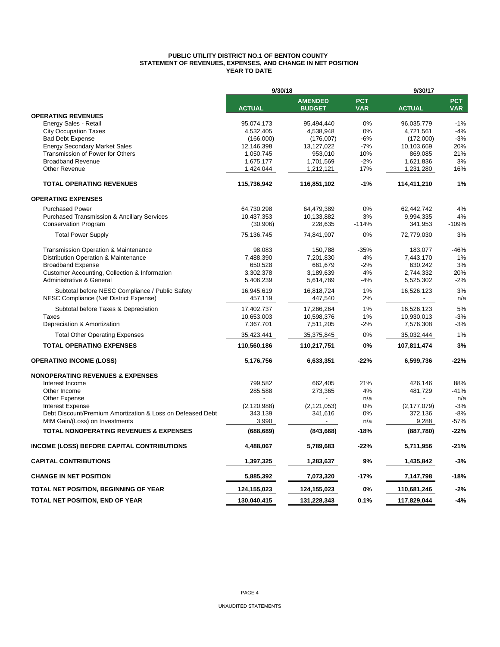#### **PUBLIC UTILITY DISTRICT NO.1 OF BENTON COUNTY STATEMENT OF REVENUES, EXPENSES, AND CHANGE IN NET POSITION YEAR TO DATE**

|                                                            | 9/30/18       |                                 |                          | 9/30/17       |                          |  |  |
|------------------------------------------------------------|---------------|---------------------------------|--------------------------|---------------|--------------------------|--|--|
|                                                            | <b>ACTUAL</b> | <b>AMENDED</b><br><b>BUDGET</b> | <b>PCT</b><br><b>VAR</b> | <b>ACTUAL</b> | <b>PCT</b><br><b>VAR</b> |  |  |
| <b>OPERATING REVENUES</b>                                  |               |                                 |                          |               |                          |  |  |
| Energy Sales - Retail                                      | 95,074,173    | 95,494,440                      | $0\%$                    | 96,035,779    | $-1%$                    |  |  |
| <b>City Occupation Taxes</b>                               | 4,532,405     | 4,538,948                       | 0%                       | 4,721,561     | $-4%$                    |  |  |
| <b>Bad Debt Expense</b>                                    | (166,000)     | (176,007)                       | $-6%$                    | (172,000)     | $-3%$                    |  |  |
| <b>Energy Secondary Market Sales</b>                       | 12,146,398    | 13,127,022                      | $-7%$                    | 10,103,669    | 20%                      |  |  |
| Transmission of Power for Others                           | 1,050,745     | 953,010                         | 10%                      | 869,085       | 21%                      |  |  |
| <b>Broadband Revenue</b>                                   | 1,675,177     | 1,701,569                       | $-2%$                    | 1,621,836     | 3%                       |  |  |
| Other Revenue                                              | 1,424,044     | 1,212,121                       | 17%                      | 1,231,280     | 16%                      |  |  |
| <b>TOTAL OPERATING REVENUES</b>                            | 115,736,942   | 116,851,102                     | $-1%$                    | 114,411,210   | 1%                       |  |  |
| <b>OPERATING EXPENSES</b>                                  |               |                                 |                          |               |                          |  |  |
| <b>Purchased Power</b>                                     | 64,730,298    | 64,479,389                      | 0%                       | 62,442,742    | 4%                       |  |  |
| <b>Purchased Transmission &amp; Ancillary Services</b>     | 10,437,353    | 10,133,882                      | 3%                       | 9,994,335     | 4%                       |  |  |
| <b>Conservation Program</b>                                | (30,906)      | 228,635                         | $-114%$                  | 341,953       | -109%                    |  |  |
| <b>Total Power Supply</b>                                  | 75,136,745    | 74,841,907                      | 0%                       | 72,779,030    | 3%                       |  |  |
| Transmission Operation & Maintenance                       | 98,083        | 150,788                         | $-35%$                   | 183,077       | $-46%$                   |  |  |
| Distribution Operation & Maintenance                       | 7,488,390     | 7,201,830                       | 4%                       | 7,443,170     | 1%                       |  |  |
| <b>Broadband Expense</b>                                   | 650,528       | 661,679                         | $-2%$                    | 630,242       | 3%                       |  |  |
| Customer Accounting, Collection & Information              | 3,302,378     | 3,189,639                       | 4%                       | 2,744,332     | 20%                      |  |  |
| Administrative & General                                   | 5,406,239     | 5,614,789                       | $-4%$                    | 5,525,302     | $-2%$                    |  |  |
| Subtotal before NESC Compliance / Public Safety            | 16,945,619    | 16,818,724                      | 1%                       | 16,526,123    | 3%                       |  |  |
| NESC Compliance (Net District Expense)                     | 457,119       | 447,540                         | 2%                       |               | n/a                      |  |  |
| Subtotal before Taxes & Depreciation                       | 17,402,737    | 17,266,264                      | 1%                       | 16,526,123    | 5%                       |  |  |
| Taxes                                                      | 10,653,003    | 10,598,376                      | 1%                       | 10,930,013    | $-3%$                    |  |  |
| Depreciation & Amortization                                | 7,367,701     | 7,511,205                       | $-2%$                    | 7,576,308     | $-3%$                    |  |  |
| <b>Total Other Operating Expenses</b>                      | 35,423,441    | 35,375,845                      | 0%                       | 35,032,444    | 1%                       |  |  |
| <b>TOTAL OPERATING EXPENSES</b>                            | 110,560,186   | 110,217,751                     | 0%                       | 107,811,474   | 3%                       |  |  |
| <b>OPERATING INCOME (LOSS)</b>                             | 5,176,756     | 6,633,351                       | $-22%$                   | 6,599,736     | $-22%$                   |  |  |
| <b>NONOPERATING REVENUES &amp; EXPENSES</b>                |               |                                 |                          |               |                          |  |  |
| Interest Income                                            | 799,582       | 662,405                         | 21%                      | 426,146       | 88%                      |  |  |
| Other Income                                               | 285,588       | 273,365                         | 4%                       | 481,729       | $-41%$                   |  |  |
| Other Expense                                              |               |                                 | n/a                      |               | n/a                      |  |  |
| <b>Interest Expense</b>                                    | (2, 120, 988) | (2, 121, 053)                   | 0%                       | (2, 177, 079) | $-3%$                    |  |  |
| Debt Discount/Premium Amortization & Loss on Defeased Debt | 343,139       | 341,616                         | 0%                       | 372,136       | $-8%$                    |  |  |
| MtM Gain/(Loss) on Investments                             | 3,990         | $\overline{\phantom{a}}$        | n/a                      | 9,288         | $-57%$                   |  |  |
| <b>TOTAL NONOPERATING REVENUES &amp; EXPENSES</b>          | (688, 689)    | (843, 668)                      | $-18%$                   | (887,780)     | $-22%$                   |  |  |
| <b>INCOME (LOSS) BEFORE CAPITAL CONTRIBUTIONS</b>          | 4,488,067     | 5,789,683                       | -22%                     | 5,711,956     | $-21%$                   |  |  |
| <b>CAPITAL CONTRIBUTIONS</b>                               | 1,397,325     | 1,283,637                       | 9%                       | 1,435,842     | $-3%$                    |  |  |
| <b>CHANGE IN NET POSITION</b>                              | 5,885,392     | 7,073,320                       | $-17%$                   | 7,147,798     | $-18%$                   |  |  |
| TOTAL NET POSITION, BEGINNING OF YEAR                      | 124,155,023   | 124,155,023                     | 0%                       | 110,681,246   | $-2%$                    |  |  |
| TOTAL NET POSITION, END OF YEAR                            | 130,040,415   | 131,228,343                     | 0.1%                     | 117,829,044   | $-4%$                    |  |  |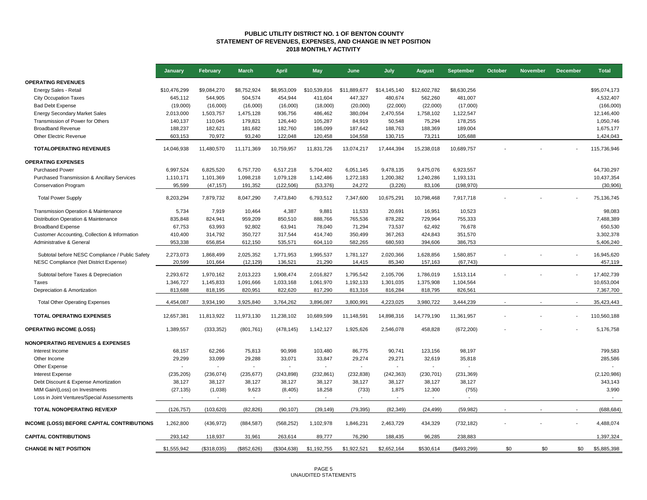#### **PUBLIC UTILITY DISTRICT NO. 1 OF BENTON COUNTY STATEMENT OF REVENUES, EXPENSES, AND CHANGE IN NET POSITION 2018 MONTHLY ACTIVITY**

|                                                        | January      | February    | <b>March</b> | <b>April</b> | <b>May</b>   | June         | July         | August         | September   | October | <b>November</b> | <b>December</b> | <b>Total</b>  |
|--------------------------------------------------------|--------------|-------------|--------------|--------------|--------------|--------------|--------------|----------------|-------------|---------|-----------------|-----------------|---------------|
| <b>OPERATING REVENUES</b>                              |              |             |              |              |              |              |              |                |             |         |                 |                 |               |
| Energy Sales - Retail                                  | \$10,476,299 | \$9,084,270 | \$8,752,924  | \$8,953,009  | \$10,539,816 | \$11,889,677 | \$14,145,140 | \$12,602,782   | \$8,630,256 |         |                 |                 | \$95,074,173  |
| <b>City Occupation Taxes</b>                           | 645,112      | 544,905     | 504,574      | 454,944      | 411,604      | 447,327      | 480,674      | 562,260        | 481,007     |         |                 |                 | 4,532,407     |
| <b>Bad Debt Expense</b>                                | (19,000)     | (16,000)    | (16,000)     | (16,000)     | (18,000)     | (20,000)     | (22,000)     | (22,000)       | (17,000)    |         |                 |                 | (166,000)     |
| <b>Energy Secondary Market Sales</b>                   | 2,013,000    | 1,503,757   | 1,475,128    | 936,756      | 486,462      | 380,094      | 2,470,554    | 1,758,102      | 1,122,547   |         |                 |                 | 12,146,400    |
| Transmission of Power for Others                       | 140,137      | 110,045     | 179,821      | 126,440      | 105,287      | 84,919       | 50,548       | 75,294         | 178,255     |         |                 |                 | 1,050,746     |
| <b>Broadband Revenue</b>                               | 188,237      | 182,621     | 181,682      | 182,760      | 186,099      | 187,642      | 188,763      | 188,369        | 189,004     |         |                 |                 | 1,675,177     |
| Other Electric Revenue                                 | 603,153      | 70,972      | 93,240       | 122,048      | 120,458      | 104,558      | 130,715      | 73,211         | 105,688     |         |                 |                 | 1,424,043     |
| <b>TOTALOPERATING REVENUES</b>                         | 14,046,938   | 11,480,570  | 11,171,369   | 10,759,957   | 11,831,726   | 13,074,217   | 17,444,394   | 15,238,018     | 10,689,757  |         |                 |                 | 115,736,946   |
| <b>OPERATING EXPENSES</b>                              |              |             |              |              |              |              |              |                |             |         |                 |                 |               |
| <b>Purchased Power</b>                                 | 6,997,524    | 6,825,520   | 6,757,720    | 6,517,218    | 5,704,402    | 6,051,145    | 9,478,135    | 9,475,076      | 6,923,557   |         |                 |                 | 64,730,297    |
| <b>Purchased Transmission &amp; Ancillary Services</b> | 1,110,171    | 1,101,369   | 1,098,218    | 1,079,128    | 1,142,486    | 1,272,183    | 1,200,382    | 1,240,286      | 1,193,131   |         |                 |                 | 10,437,354    |
| <b>Conservation Program</b>                            | 95,599       | (47, 157)   | 191,352      | (122, 506)   | (53, 376)    | 24,272       | (3,226)      | 83,106         | (198, 970)  |         |                 |                 | (30, 906)     |
| <b>Total Power Supply</b>                              | 8,203,294    | 7,879,732   | 8,047,290    | 7,473,840    | 6,793,512    | 7,347,600    | 10,675,291   | 10,798,468     | 7,917,718   |         |                 |                 | 75,136,745    |
| Transmission Operation & Maintenance                   | 5,734        | 7,919       | 10,464       | 4,387        | 9,881        | 11,533       | 20,691       | 16,951         | 10,523      |         |                 |                 | 98,083        |
| Distribution Operation & Maintenance                   | 835.848      | 824,941     | 959,209      | 850.510      | 888,766      | 765,536      | 878,282      | 729,964        | 755,333     |         |                 |                 | 7,488,389     |
| <b>Broadband Expense</b>                               | 67,753       | 63,993      | 92,802       | 63,941       | 78,040       | 71,294       | 73,537       | 62,492         | 76,678      |         |                 |                 | 650,530       |
| Customer Accounting, Collection & Information          | 410,400      | 314,792     | 350,727      | 317,544      | 414,740      | 350,499      | 367,263      | 424,843        | 351,570     |         |                 |                 | 3,302,378     |
| Administrative & General                               | 953,338      | 656,854     | 612,150      | 535,571      | 604,110      | 582,265      | 680,593      | 394,606        | 386,753     |         |                 |                 | 5,406,240     |
|                                                        |              |             |              |              |              |              |              |                |             |         |                 |                 |               |
| Subtotal before NESC Compliance / Public Safety        | 2,273,073    | 1,868,499   | 2,025,352    | 1,771,953    | 1,995,537    | 1,781,127    | 2,020,366    | 1,628,856      | 1,580,857   |         |                 |                 | 16,945,620    |
| NESC Compliance (Net District Expense)                 | 20,599       | 101,664     | (12, 129)    | 136,521      | 21,290       | 14,415       | 85,340       | 157,163        | (67, 743)   |         |                 |                 | 457,119       |
| Subtotal before Taxes & Depreciation                   | 2,293,672    | 1,970,162   | 2,013,223    | 1,908,474    | 2,016,827    | 1,795,542    | 2,105,706    | 1,786,019      | 1,513,114   |         |                 |                 | 17,402,739    |
| Taxes                                                  | 1,346,727    | 1,145,833   | 1,091,666    | 1,033,168    | 1,061,970    | 1,192,133    | 1,301,035    | 1,375,908      | 1,104,564   |         |                 |                 | 10,653,004    |
| Depreciation & Amortization                            | 813,688      | 818,195     | 820,951      | 822,620      | 817,290      | 813,316      | 816,284      | 818,795        | 826,561     |         |                 |                 | 7,367,700     |
| <b>Total Other Operating Expenses</b>                  | 4,454,087    | 3,934,190   | 3,925,840    | 3,764,262    | 3,896,087    | 3,800,991    | 4,223,025    | 3,980,722      | 3,444,239   |         |                 | $\blacksquare$  | 35,423,443    |
| <b>TOTAL OPERATING EXPENSES</b>                        | 12,657,381   | 11,813,922  | 11,973,130   | 11,238,102   | 10,689,599   | 11,148,591   | 14,898,316   | 14,779,190     | 11,361,957  |         |                 |                 | 110,560,188   |
| <b>OPERATING INCOME (LOSS)</b>                         | 1,389,557    | (333, 352)  | (801, 761)   | (478, 145)   | 1,142,127    | 1,925,626    | 2,546,078    | 458,828        | (672, 200)  |         |                 |                 | 5,176,758     |
| <b>NONOPERATING REVENUES &amp; EXPENSES</b>            |              |             |              |              |              |              |              |                |             |         |                 |                 |               |
| Interest Income                                        | 68.157       | 62,266      | 75,813       | 90.998       | 103.480      | 86,775       | 90,741       | 123,156        | 98.197      |         |                 |                 | 799,583       |
| Other Income                                           | 29,299       | 33,099      | 29,288       | 33,071       | 33,847       | 29,274       | 29,271       | 32,619         | 35,818      |         |                 |                 | 285,586       |
| Other Expense                                          |              |             |              | $\sim$       |              |              |              | $\mathbf{r}$   |             |         |                 |                 |               |
| <b>Interest Expense</b>                                | (235, 205)   | (236, 074)  | (235, 677)   | (243, 898)   | (232, 861)   | (232, 838)   | (242, 363)   | (230, 701)     | (231, 369)  |         |                 |                 | (2, 120, 986) |
| Debt Discount & Expense Amortization                   | 38,127       | 38,127      | 38,127       | 38,127       | 38,127       | 38,127       | 38,127       | 38,127         | 38,127      |         |                 |                 | 343,143       |
| MtM Gain/(Loss) on Investments                         | (27, 135)    | (1,038)     | 9,623        | (8, 405)     | 18,258       | (733)        | 1,875        | 12,300         | (755)       |         |                 |                 | 3,990         |
| Loss in Joint Ventures/Special Assessments             |              |             |              | $\sim$       |              |              |              | $\overline{a}$ |             |         |                 |                 |               |
| TOTAL NONOPERATING REV/EXP                             | (126, 757)   | (103, 620)  | (82, 826)    | (90, 107)    | (39, 149)    | (79, 395)    | (82, 349)    | (24, 499)      | (59, 982)   |         |                 |                 | (688, 684)    |
| <b>INCOME (LOSS) BEFORE CAPITAL CONTRIBUTIONS</b>      | 1,262,800    | (436, 972)  | (884, 587)   | (568, 252)   | 1,102,978    | 1,846,231    | 2,463,729    | 434,329        | (732, 182)  |         |                 |                 | 4,488,074     |
| <b>CAPITAL CONTRIBUTIONS</b>                           | 293.142      | 118,937     | 31,961       | 263,614      | 89.777       | 76,290       | 188,435      | 96,285         | 238,883     |         |                 |                 | 1,397,324     |
| <b>CHANGE IN NET POSITION</b>                          | \$1,555,942  | (\$318,035) | (\$852,626)  | (\$304,638)  | \$1,192,755  | \$1,922,521  | \$2,652,164  | \$530,614      | (\$493,299) | \$0     | \$0             | \$0             | \$5,885,398   |
|                                                        |              |             |              |              |              |              |              |                |             |         |                 |                 |               |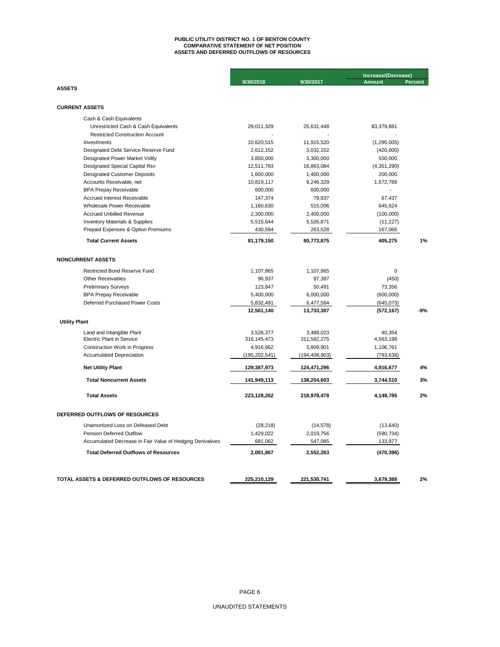## **ASSETS AND DEFERRED OUTFLOWS OF RESOURCES PUBLIC UTILITY DISTRICT NO. 1 OF BENTON COUNTY COMPARATIVE STATEMENT OF NET POSITION**

|                                                                  |                        |                      | Increase/(Decrease)    |                |  |
|------------------------------------------------------------------|------------------------|----------------------|------------------------|----------------|--|
|                                                                  | 9/30/2018              | 9/30/2017            | <b>Amount</b>          | <b>Percent</b> |  |
| <b>ASSETS</b>                                                    |                        |                      |                        |                |  |
| <b>CURRENT ASSETS</b>                                            |                        |                      |                        |                |  |
|                                                                  |                        |                      |                        |                |  |
| Cash & Cash Equivalents                                          |                        |                      |                        |                |  |
| Unrestricted Cash & Cash Equivalents                             | 29,011,329             | 25,631,448           | \$3,379,881            |                |  |
| <b>Restricted Construction Account</b>                           |                        |                      |                        |                |  |
| Investments                                                      | 10,620,515             | 11,915,520           | (1, 295, 005)          |                |  |
| Designated Debt Service Reserve Fund                             | 2,612,152              | 3,032,152            | (420,000)              |                |  |
| Designated Power Market Voltly                                   | 3,850,000              | 3,300,000            | 550,000                |                |  |
| Designated Special Capital Rsv                                   | 12,511,793             | 16,863,084           | (4,351,290)            |                |  |
| <b>Designated Customer Deposits</b>                              | 1,600,000              | 1,400,000            | 200,000                |                |  |
| Accounts Receivable, net                                         | 10,819,117             | 9,246,329            | 1,572,788              |                |  |
| <b>BPA Prepay Receivable</b>                                     | 600,000<br>147,374     | 600,000<br>79,937    | 67,437                 |                |  |
| <b>Accrued Interest Receivable</b><br>Wholesale Power Receivable |                        |                      |                        |                |  |
| <b>Accrued Unbilled Revenue</b>                                  | 1,160,630<br>2,300,000 | 515,006<br>2,400,000 | 645,624                |                |  |
| <b>Inventory Materials &amp; Supplies</b>                        | 5,515,644              | 5,526,871            | (100,000)<br>(11, 227) |                |  |
| Prepaid Expenses & Option Premiums                               | 430,594                | 263,528              | 167,066                |                |  |
|                                                                  |                        |                      |                        |                |  |
| <b>Total Current Assets</b>                                      | 81,179,150             | 80,773,875           | 405,275                | 1%             |  |
| <b>NONCURRENT ASSETS</b>                                         |                        |                      |                        |                |  |
| <b>Restricted Bond Reserve Fund</b>                              | 1,107,865              | 1,107,865            | 0                      |                |  |
| <b>Other Receivables</b>                                         | 96,937                 | 97,387               | (450)                  |                |  |
| <b>Preliminary Surveys</b>                                       | 123,847                | 50,491               | 73,356                 |                |  |
| <b>BPA Prepay Receivable</b>                                     | 5,400,000              | 6,000,000            | (600,000)              |                |  |
| Deferred Purchased Power Costs                                   | 5,832,491              | 6,477,564            | (645,073)              |                |  |
|                                                                  | 12,561,140             | 13,733,307           | (572, 167)             | -9%            |  |
| <b>Utility Plant</b>                                             |                        |                      |                        |                |  |
| Land and Intangible Plant                                        | 3,528,377              | 3,488,023            | 40,354                 |                |  |
| <b>Electric Plant in Service</b>                                 | 316, 145, 473          | 311,582,275          | 4,563,198              |                |  |
| <b>Construction Work in Progress</b>                             | 4,916,662              | 3,809,901            | 1,106,761              |                |  |
| <b>Accumulated Depreciation</b>                                  | (195, 202, 541)        | (194, 408, 903)      | (793, 638)             |                |  |
| <b>Net Utility Plant</b>                                         | 129,387,973            | 124,471,296          | 4,916,677              | 4%             |  |
| <b>Total Noncurrent Assets</b>                                   | 141,949,113            | 138,204,603          | 3,744,510              | 3%             |  |
| <b>Total Assets</b>                                              | 223,128,262            | 218,978,478          | 4,149,785              | 2%             |  |
| DEFERRED OUTFLOWS OF RESOURCES                                   |                        |                      |                        |                |  |
| Unamortized Loss on Defeased Debt                                | (28, 218)              | (14, 578)            | (13,640)               |                |  |
| <b>Pension Deferred Outflow</b>                                  | 1,429,022              | 2,019,756            | (590, 734)             |                |  |
| Accumulated Decrease in Fair Value of Hedging Derivatives        | 681,062                | 547,085              | 133,977                |                |  |
| <b>Total Deferred Outflows of Resources</b>                      | 2,081,867              | 2,552,263            | (470, 396)             |                |  |
|                                                                  |                        |                      |                        |                |  |
|                                                                  |                        |                      |                        |                |  |
| TOTAL ASSETS & DEFERRED OUTFLOWS OF RESOURCES                    | 225,210,129            | 221,530,741          | 3,679,388              | 2%             |  |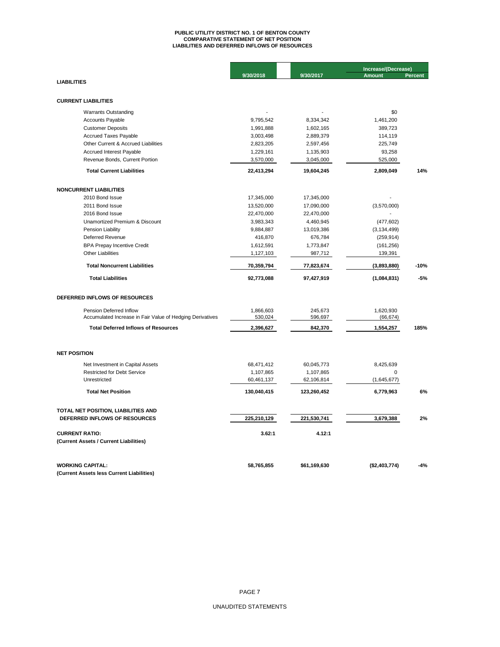# **PUBLIC UTILITY DISTRICT NO. 1 OF BENTON COUNTY COMPARATIVE STATEMENT OF NET POSITION LIABILITIES AND DEFERRED INFLOWS OF RESOURCES**

|                                                           |             |              | Increase/(Decrease) |         |  |
|-----------------------------------------------------------|-------------|--------------|---------------------|---------|--|
| <b>LIABILITIES</b>                                        | 9/30/2018   | 9/30/2017    | <b>Amount</b>       | Percent |  |
|                                                           |             |              |                     |         |  |
| <b>CURRENT LIABILITIES</b>                                |             |              |                     |         |  |
| <b>Warrants Outstanding</b>                               |             |              | \$0                 |         |  |
|                                                           | 9,795,542   | 8,334,342    | 1,461,200           |         |  |
| <b>Accounts Payable</b><br><b>Customer Deposits</b>       | 1,991,888   | 1,602,165    | 389,723             |         |  |
| <b>Accrued Taxes Payable</b>                              | 3,003,498   | 2,889,379    | 114,119             |         |  |
| Other Current & Accrued Liabilities                       | 2,823,205   | 2,597,456    | 225,749             |         |  |
| Accrued Interest Payable                                  | 1,229,161   | 1,135,903    | 93,258              |         |  |
|                                                           |             |              |                     |         |  |
| Revenue Bonds, Current Portion                            | 3,570,000   | 3,045,000    | 525,000             |         |  |
| <b>Total Current Liabilities</b>                          | 22,413,294  | 19,604,245   | 2,809,049           | 14%     |  |
| <b>NONCURRENT LIABILITIES</b>                             |             |              |                     |         |  |
| 2010 Bond Issue                                           | 17,345,000  | 17,345,000   |                     |         |  |
| 2011 Bond Issue                                           | 13,520,000  | 17,090,000   | (3,570,000)         |         |  |
| 2016 Bond Issue                                           | 22,470,000  | 22,470,000   |                     |         |  |
| Unamortized Premium & Discount                            | 3,983,343   | 4,460,945    | (477, 602)          |         |  |
| Pension Liability                                         | 9,884,887   | 13,019,386   | (3, 134, 499)       |         |  |
| Deferred Revenue                                          | 416,870     | 676,784      | (259, 914)          |         |  |
| <b>BPA Prepay Incentive Credit</b>                        | 1,612,591   | 1,773,847    | (161, 256)          |         |  |
| <b>Other Liabilities</b>                                  | 1,127,103   | 987,712      | 139,391             |         |  |
|                                                           |             |              |                     |         |  |
| <b>Total Noncurrent Liabilities</b>                       | 70,359,794  | 77,823,674   | (3,893,880)         | $-10%$  |  |
| <b>Total Liabilities</b>                                  | 92,773,088  | 97,427,919   | (1,084,831)         | $-5%$   |  |
| DEFERRED INFLOWS OF RESOURCES                             |             |              |                     |         |  |
| Pension Deferred Inflow                                   | 1,866,603   | 245,673      | 1,620,930           |         |  |
| Accumulated Increase in Fair Value of Hedging Derivatives | 530,024     | 596,697      | (66, 674)           |         |  |
| <b>Total Deferred Inflows of Resources</b>                | 2,396,627   | 842,370      | 1,554,257           | 185%    |  |
|                                                           |             |              |                     |         |  |
| <b>NET POSITION</b>                                       |             |              |                     |         |  |
| Net Investment in Capital Assets                          | 68,471,412  | 60,045,773   | 8,425,639           |         |  |
| <b>Restricted for Debt Service</b>                        | 1,107,865   | 1,107,865    | 0                   |         |  |
| Unrestricted                                              | 60,461,137  | 62,106,814   | (1,645,677)         |         |  |
| <b>Total Net Position</b>                                 | 130,040,415 | 123,260,452  | 6,779,963           | 6%      |  |
|                                                           |             |              |                     |         |  |
| TOTAL NET POSITION, LIABILITIES AND                       |             |              |                     |         |  |
| DEFERRED INFLOWS OF RESOURCES                             | 225,210,129 | 221,530,741  | 3,679,388           | 2%      |  |
| <b>CURRENT RATIO:</b>                                     | 3.62:1      | 4.12:1       |                     |         |  |
| (Current Assets / Current Liabilities)                    |             |              |                     |         |  |
|                                                           |             |              |                     |         |  |
| <b>WORKING CAPITAL:</b>                                   | 58,765,855  | \$61,169,630 | (\$2,403,774)       | $-4%$   |  |
| (Current Assets less Current Liabilities)                 |             |              |                     |         |  |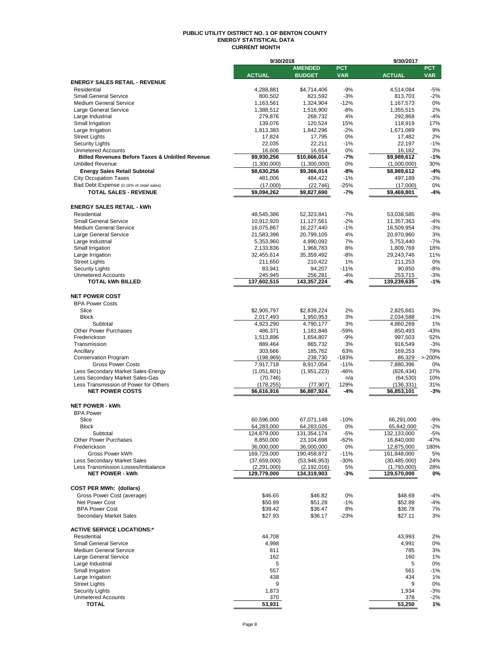#### **PUBLIC UTILITY DISTRICT NO. 1 OF BENTON COUNTY ENERGY STATISTICAL DATA CURRENT MONTH**

|                                                                       | 9/30/2018                |                        |                 | 9/30/2017               |               |
|-----------------------------------------------------------------------|--------------------------|------------------------|-----------------|-------------------------|---------------|
|                                                                       |                          | <b>AMENDED</b>         | <b>PCT</b>      |                         | <b>PCT</b>    |
|                                                                       | <b>ACTUAL</b>            | <b>BUDGET</b>          | <b>VAR</b>      | <b>ACTUAL</b>           | <b>VAR</b>    |
| <b>ENERGY SALES RETAIL - REVENUE</b>                                  |                          |                        |                 |                         |               |
| Residential                                                           | 4,288,881                | \$4,714,406            | $-9%$           | 4,514,084               | $-5%$         |
| <b>Small General Service</b><br><b>Medium General Service</b>         | 800,502                  | 821,592                | $-3%$           | 813,703                 | $-2%$         |
| Large General Service                                                 | 1,163,561<br>1,388,512   | 1,324,904<br>1,516,900 | $-12%$<br>$-8%$ | 1,167,573<br>1,355,515  | 0%<br>2%      |
| Large Industrial                                                      | 279,876                  | 268,732                | 4%              | 292,868                 | $-4%$         |
| Small Irrigation                                                      | 139,076                  | 120,524                | 15%             | 118,919                 | 17%           |
| Large Irrigation                                                      | 1,813,383                | 1,842,296              | $-2%$           | 1,671,089               | 9%            |
| <b>Street Lights</b>                                                  | 17,824                   | 17,795                 | 0%              | 17,482                  | 2%            |
| <b>Security Lights</b>                                                | 22,035                   | 22,211                 | $-1%$           | 22,197                  | $-1%$         |
| <b>Unmetered Accounts</b>                                             | 16,606                   | 16,654                 | 0%              | 16,182                  | 3%            |
| <b>Billed Revenues Before Taxes &amp; Unbilled Revenue</b>            | \$9,930,256              | \$10,666,014           | -7%             | \$9,989,612             | $-1%$         |
| <b>Unbilled Revenue</b>                                               | (1,300,000)              | (1,300,000)            | 0%              | (1,000,000)             | 30%           |
| <b>Energy Sales Retail Subtotal</b>                                   | \$8,630,256              | \$9,366,014            | -8%             | \$8,989,612             | -4%           |
| <b>City Occupation Taxes</b>                                          | 481,006                  | 484,422                | $-1%$           | 497,189                 | $-3%$         |
| Bad Debt Expense (0.16% of retail sales)                              | (17,000)                 | (22, 746)              | $-25%$          | (17,000)                | 0%            |
| <b>TOTAL SALES - REVENUE</b>                                          | \$9,094,262              | \$9,827,690            | $-7%$           | \$9,469,801             | -4%           |
|                                                                       |                          |                        |                 |                         |               |
| <b>ENERGY SALES RETAIL - kWh</b>                                      |                          |                        |                 |                         |               |
| Residential                                                           | 48,545,386               | 52,323,841             | $-7%$           | 53,038,585              | -8%           |
| <b>Small General Service</b>                                          | 10,912,920               | 11,127,561             | $-2%$           | 11,357,363              | $-4%$         |
| <b>Medium General Service</b>                                         | 16,075,867               | 16,227,440             | $-1%$           | 16,509,954              | $-3%$         |
| Large General Service                                                 | 21,583,396               | 20,799,105             | 4%              | 20,970,960              | 3%            |
| Large Industrial                                                      | 5,353,960                | 4,990,092              | 7%              | 5,753,440               | $-7%$         |
| Small Irrigation                                                      | 2,133,836                | 1,968,783              | 8%              | 1,809,769               | 18%           |
| Large Irrigation                                                      | 32,455,614               | 35,359,492             | -8%             | 29,243,746              | 11%           |
| <b>Street Lights</b>                                                  | 211,650                  | 210,422                | 1%              | 211,253                 | 0%            |
| <b>Security Lights</b>                                                | 83,941                   | 94,207                 | $-11%$          | 90,850                  | $-8%$         |
| <b>Unmetered Accounts</b>                                             | 245,945                  | 256,281                | $-4%$           | 253,715                 | $-3%$         |
| <b>TOTAL kWh BILLED</b>                                               | 137,602,515              | 143,357,224            | -4%             | 139,239,635             | $-1%$         |
|                                                                       |                          |                        |                 |                         |               |
| <b>NET POWER COST</b>                                                 |                          |                        |                 |                         |               |
| <b>BPA Power Costs</b>                                                |                          |                        |                 |                         |               |
| Slice                                                                 | \$2,905,797              | \$2,839,224            | 2%              | 2,825,681               | 3%            |
| <b>Block</b>                                                          | 2,017,493                | 1,950,953              | 3%              | 2,034,588               | $-1%$         |
| Subtotal                                                              | 4,923,290                | 4,790,177              | 3%              | 4,860,269               | 1%            |
| <b>Other Power Purchases</b>                                          | 486,371                  | 1,181,846              | $-59%$          | 850,493                 | $-43%$        |
| Frederickson                                                          | 1,513,896                | 1,654,807              | $-9%$           | 997,503                 | 52%           |
| Transmission                                                          | 889,464                  | 865,732                | 3%              | 916,549                 | $-3%$         |
| Ancillary                                                             | 303,666                  | 185,762                | 63%             | 169,253                 | 79%           |
| <b>Conservation Program</b>                                           | (198, 969)               | 238,730                | $-183%$         |                         | 86,329 >-200% |
| <b>Gross Power Costs</b>                                              | 7,917,718                | 8,917,054              | $-11%$          | 7,880,396               | 0%            |
| Less Secondary Market Sales-Energy<br>Less Secondary Market Sales-Gas | (1,051,801)<br>(70, 746) | (1, 951, 223)          | $-46%$<br>n/a   | (826, 434)<br>(64, 530) | 27%<br>10%    |
| Less Transmission of Power for Others                                 | (178, 255)               | (77, 907)              | 129%            | (136, 331)              | 31%           |
| <b>NET POWER COSTS</b>                                                | \$6,616,916              | \$6,887,924            | -4%             | \$6,853,101             | $-3%$         |
|                                                                       |                          |                        |                 |                         |               |
| <b>NET POWER - kWh</b>                                                |                          |                        |                 |                         |               |
| <b>BPA Power</b>                                                      |                          |                        |                 |                         |               |
| Slice                                                                 | 60,596,000               | 67,071,148             | $-10%$          | 66,291,000              | $-9%$         |
| Block                                                                 | 64,283,000               | 64,283,026             | U%              | 65,842,000              | -2%           |
| Subtotal                                                              | 124,879,000              | 131,354,174            | $-5%$           | 132,133,000             | $-5%$         |
| <b>Other Power Purchases</b>                                          | 8,850,000                | 23,104,698             | $-62%$          | 16,840,000              | -47%          |
| Frederickson                                                          | 36,000,000               | 36,000,000             | 0%              | 12,875,000              | 180%          |
| Gross Power kWh                                                       | 169,729,000              | 190,458,872            | $-11%$          | 161,848,000             | 5%            |
| <b>Less Secondary Market Sales</b>                                    | (37,659,000)             | (53,946,953)           | $-30%$          | (30, 485, 000)          | 24%           |
| Less Transmission Losses/Imbalance                                    | (2,291,000)              | (2, 192, 016)          | 5%              | (1,793,000)             | 28%           |
| <b>NET POWER - kWh</b>                                                | 129,779,000              | 134,319,903            | -3%             | 129,570,000             | 0%            |
|                                                                       |                          |                        |                 |                         |               |
| <b>COST PER MWh: (dollars)</b>                                        |                          |                        |                 |                         |               |
| Gross Power Cost (average)                                            | \$46.65                  | \$46.82                | 0%              | \$48.69                 | $-4%$         |
| Net Power Cost                                                        | \$50.99                  | \$51.28                | $-1%$           | \$52.89                 | -4%           |
| <b>BPA Power Cost</b>                                                 | \$39.42                  | \$36.47                | 8%              | \$36.78                 | 7%            |
| Secondary Market Sales                                                | \$27.93                  | \$36.17                | $-23%$          | \$27.11                 | 3%            |
|                                                                       |                          |                        |                 |                         |               |
| <b>ACTIVE SERVICE LOCATIONS:*</b>                                     |                          |                        |                 |                         |               |
| Residential                                                           | 44,708                   |                        |                 | 43,993                  | 2%            |
| <b>Small General Service</b>                                          | 4,998                    |                        |                 | 4,991                   | 0%            |
| <b>Medium General Service</b>                                         | 811                      |                        |                 | 785                     | 3%            |
| Large General Service                                                 | 162                      |                        |                 | 160                     | 1%            |
| Large Industrial                                                      | 5                        |                        |                 | 5                       | 0%            |
| Small Irrigation                                                      | 557                      |                        |                 | 561                     | -1%           |
| Large Irrigation                                                      | 438                      |                        |                 | 434                     | 1%            |
| <b>Street Lights</b>                                                  | 9                        |                        |                 | 9                       | 0%            |
| <b>Security Lights</b>                                                | 1,873                    |                        |                 | 1,934                   | $-3%$         |
| <b>Unmetered Accounts</b>                                             | 370                      |                        |                 | 378                     | $-2%$         |
| TOTAL                                                                 | 53,931                   |                        |                 | 53,250                  | 1%            |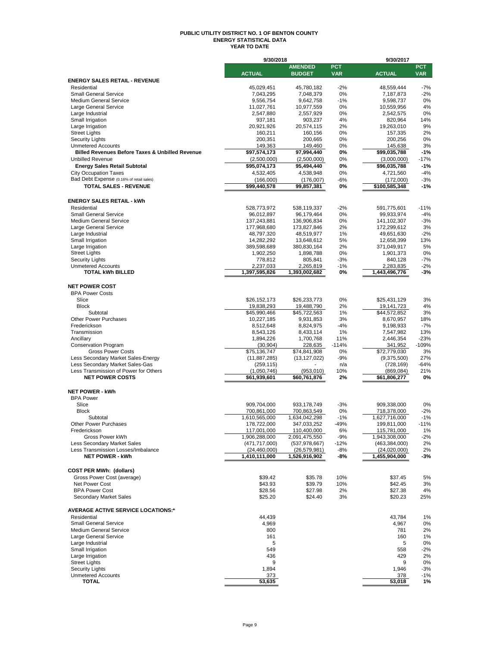#### **PUBLIC UTILITY DISTRICT NO. 1 OF BENTON COUNTY ENERGY STATISTICAL DATA YEAR TO DATE**

|                                                                          | 9/30/2018                  |                            |             | 9/30/2017                   |                 |  |  |
|--------------------------------------------------------------------------|----------------------------|----------------------------|-------------|-----------------------------|-----------------|--|--|
|                                                                          |                            | <b>AMENDED</b>             | <b>PCT</b>  |                             | <b>PCT</b>      |  |  |
|                                                                          | <b>ACTUAL</b>              | <b>BUDGET</b>              | <b>VAR</b>  | <b>ACTUAL</b>               | <b>VAR</b>      |  |  |
| <b>ENERGY SALES RETAIL - REVENUE</b><br>Residential                      |                            |                            |             |                             |                 |  |  |
| <b>Small General Service</b>                                             | 45,029,451<br>7,043,295    | 45,780,182<br>7,048,379    | $-2%$<br>0% | 48,559,444<br>7,187,873     | $-7%$<br>$-2%$  |  |  |
| <b>Medium General Service</b>                                            | 9,556,754                  | 9,642,758                  | $-1%$       | 9,598,737                   | 0%              |  |  |
| Large General Service                                                    | 11,027,761                 | 10,977,559                 | 0%          | 10,559,956                  | 4%              |  |  |
| Large Industrial                                                         | 2,547,880                  | 2,557,929                  | 0%          | 2,542,575                   | 0%              |  |  |
| Small Irrigation                                                         | 937,181                    | 903,237                    | 4%          | 820,964                     | 14%             |  |  |
| Large Irrigation                                                         | 20,921,926                 | 20,574,115                 | 2%          | 19,263,010                  | 9%              |  |  |
| <b>Street Lights</b>                                                     | 160,211                    | 160,156                    | 0%          | 157,335                     | 2%              |  |  |
| <b>Security Lights</b>                                                   | 200,351                    | 200,665                    | 0%          | 200,256                     | 0%              |  |  |
| <b>Unmetered Accounts</b>                                                | 149,363                    | 149,460                    | 0%          | 145,638                     | 3%              |  |  |
| <b>Billed Revenues Before Taxes &amp; Unbilled Revenue</b>               | \$97,574,173               | 97,994,440                 | 0%          | \$99,035,788                | $-1%$           |  |  |
| <b>Unbilled Revenue</b>                                                  | (2,500,000)                | (2,500,000)<br>95,494,440  | 0%          | (3,000,000)<br>\$96,035,788 | -17%<br>$-1%$   |  |  |
| <b>Energy Sales Retail Subtotal</b>                                      | \$95,074,173               |                            | 0%<br>0%    |                             | $-4%$           |  |  |
| <b>City Occupation Taxes</b><br>Bad Debt Expense (0.16% of retail sales) | 4,532,405<br>(166,000)     | 4,538,948<br>(176,007)     | -6%         | 4,721,560<br>(172,000)      | $-3%$           |  |  |
| <b>TOTAL SALES - REVENUE</b>                                             | \$99,440,578               | 99,857,381                 | 0%          | \$100,585,348               | $-1%$           |  |  |
|                                                                          |                            |                            |             |                             |                 |  |  |
| <b>ENERGY SALES RETAIL - kWh</b>                                         |                            |                            |             |                             |                 |  |  |
| Residential                                                              |                            |                            | $-2%$       |                             |                 |  |  |
| <b>Small General Service</b>                                             | 528,773,972<br>96,012,897  | 538,119,337<br>96,179,464  | 0%          | 591,775,601<br>99,933,974   | $-11%$<br>$-4%$ |  |  |
| <b>Medium General Service</b>                                            | 137,243,881                | 136,906,834                | 0%          | 141,102,307                 | $-3%$           |  |  |
| Large General Service                                                    | 177,968,680                | 173,827,846                | 2%          | 172,299,612                 | 3%              |  |  |
| Large Industrial                                                         | 48,797,320                 | 48,519,977                 | 1%          | 49,651,630                  | $-2%$           |  |  |
| Small Irrigation                                                         | 14,282,292                 | 13,648,612                 | 5%          | 12,658,399                  | 13%             |  |  |
| Large Irrigation                                                         | 389,598,689                | 380,830,164                | 2%          | 371,049,917                 | 5%              |  |  |
| <b>Street Lights</b>                                                     | 1,902,250                  | 1,898,788                  | 0%          | 1,901,373                   | 0%              |  |  |
| <b>Security Lights</b>                                                   | 778,812                    | 805,841                    | -3%         | 840,128                     | -7%             |  |  |
| <b>Unmetered Accounts</b>                                                | 2,237,033                  | 2,265,819                  | $-1%$       | 2,283,835                   | $-2%$           |  |  |
| <b>TOTAL kWh BILLED</b>                                                  | 1,397,595,826              | 1,393,002,682              | 0%          | 1,443,496,776               | -3%             |  |  |
|                                                                          |                            |                            |             |                             |                 |  |  |
| <b>NET POWER COST</b>                                                    |                            |                            |             |                             |                 |  |  |
| <b>BPA Power Costs</b>                                                   |                            |                            |             |                             |                 |  |  |
| Slice<br><b>Block</b>                                                    | \$26,152,173               | \$26,233,773               | 0%          | \$25,431,129                | 3%              |  |  |
| Subtotal                                                                 | 19,838,293<br>\$45,990,466 | 19,488,790<br>\$45,722,563 | 2%<br>1%    | 19,141,723<br>\$44,572,852  | 4%<br>3%        |  |  |
| Other Power Purchases                                                    | 10,227,185                 | 9,931,853                  | 3%          | 8,670,957                   | 18%             |  |  |
| Frederickson                                                             | 8,512,648                  | 8,824,975                  | -4%         | 9,198,933                   | $-7%$           |  |  |
| Transmission                                                             | 8,543,126                  | 8,433,114                  | 1%          | 7,547,982                   | 13%             |  |  |
| Ancillary                                                                | 1,894,226                  | 1,700,768                  | 11%         | 2,446,354                   | $-23%$          |  |  |
| <b>Conservation Program</b>                                              | (30, 904)                  | 228,635                    | $-114%$     | 341,952                     | $-109%$         |  |  |
| <b>Gross Power Costs</b>                                                 | \$75,136,747               | \$74,841,908               | 0%          | \$72,779,030                | 3%              |  |  |
| Less Secondary Market Sales-Energy                                       | (11, 887, 285)             | (13, 127, 022)             | -9%         | (9,375,500)                 | 27%             |  |  |
| Less Secondary Market Sales-Gas                                          | (259, 115)                 |                            | n/a         | (728, 169)                  | -64%            |  |  |
| Less Transmission of Power for Others                                    | (1,050,746)                | (953,010)                  | 10%         | (869, 084)                  | 21%             |  |  |
| <b>NET POWER COSTS</b>                                                   | \$61,939,601               | \$60,761,876               | 2%          | \$61,806,277                | 0%              |  |  |
|                                                                          |                            |                            |             |                             |                 |  |  |
| <b>NET POWER - kWh</b>                                                   |                            |                            |             |                             |                 |  |  |
| <b>BPA Power</b><br>Slice                                                | 909,704,000                |                            | $-3%$       |                             |                 |  |  |
| <b>Block</b>                                                             | 700,861,000                | 933,178,749<br>700,863,549 | 0%          | 909,338,000<br>718,378,000  | 0%<br>$-2%$     |  |  |
| Subtotal                                                                 | 1,610,565,000              | 1,634,042,298              | $-1%$       | 1,627,716,000               | $-1%$           |  |  |
| Other Power Purchases                                                    | 178,722,000                | 347,033,252                | 49%         | 199,811,000                 | 11%             |  |  |
| Frederickson                                                             | 117,001,000                | 110,400,000                | 6%          | 115,781,000                 | 1%              |  |  |
| Gross Power kWh                                                          | 1,906,288,000              | 2,091,475,550              | -9%         | 1,943,308,000               | -2%             |  |  |
| Less Secondary Market Sales                                              | (471, 717, 000)            | (537, 978, 667)            | $-12%$      | (463, 384, 000)             | 2%              |  |  |
| Less Transmission Losses/Imbalance                                       | (24, 460, 000)             | (26, 579, 981)             | $-8%$       | (24,020,000)                | 2%              |  |  |
| <b>NET POWER - kWh</b>                                                   | 1,410,111,000              | 1,526,916,902              | -8%         | 1,455,904,000               | -3%             |  |  |
|                                                                          |                            |                            |             |                             |                 |  |  |
| <b>COST PER MWh: (dollars)</b>                                           |                            |                            |             |                             |                 |  |  |
| Gross Power Cost (average)                                               | \$39.42                    | \$35.78                    | 10%         | \$37.45                     | 5%              |  |  |
| Net Power Cost                                                           | \$43.93                    | \$39.79                    | 10%         | \$42.45                     | 3%              |  |  |
| <b>BPA Power Cost</b>                                                    | \$28.56                    | \$27.98                    | 2%          | \$27.38                     | 4%              |  |  |
| Secondary Market Sales                                                   | \$25.20                    | \$24.40                    | 3%          | \$20.23                     | 25%             |  |  |
| <b>AVERAGE ACTIVE SERVICE LOCATIONS:*</b>                                |                            |                            |             |                             |                 |  |  |
| Residential                                                              | 44,439                     |                            |             | 43,784                      | 1%              |  |  |
| <b>Small General Service</b>                                             | 4,969                      |                            |             | 4,967                       | 0%              |  |  |
| <b>Medium General Service</b>                                            | 800                        |                            |             | 781                         | 2%              |  |  |
| Large General Service                                                    | 161                        |                            |             | 160                         | 1%              |  |  |
| Large Industrial                                                         | 5                          |                            |             | 5                           | 0%              |  |  |
| Small Irrigation                                                         | 549                        |                            |             | 558                         | $-2%$           |  |  |
| Large Irrigation                                                         | 436                        |                            |             | 429                         | 2%              |  |  |
| <b>Street Lights</b>                                                     | 9                          |                            |             | 9                           | 0%              |  |  |
| <b>Security Lights</b>                                                   | 1,894                      |                            |             | 1,946                       | $-3%$           |  |  |
| <b>Unmetered Accounts</b>                                                | 373                        |                            |             | 378                         | -1%             |  |  |
| TOTAL                                                                    | 53,635                     |                            |             | 53,018                      | 1%              |  |  |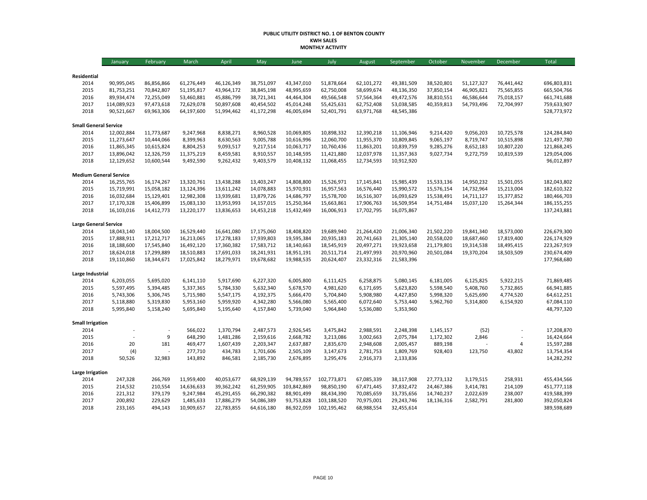#### **PUBLIC UTILITY DISTRICT NO. 1 OF BENTON COUNTY KWH SALES MONTHLY ACTIVITY**

|                               | January                  | February                 | March                    | April                    | May                      | June                     | July                     | August                   | September                | October                  | November                 | December                 | <b>Total</b>               |
|-------------------------------|--------------------------|--------------------------|--------------------------|--------------------------|--------------------------|--------------------------|--------------------------|--------------------------|--------------------------|--------------------------|--------------------------|--------------------------|----------------------------|
|                               |                          |                          |                          |                          |                          |                          |                          |                          |                          |                          |                          |                          |                            |
| Residential                   |                          |                          |                          |                          |                          |                          |                          |                          |                          |                          |                          |                          |                            |
| 2014<br>2015                  | 90,995,045<br>81,753,251 | 86,856,866<br>70,842,807 | 61,276,449<br>51,195,817 | 46,126,349<br>43,964,172 | 38,751,097<br>38,845,198 | 43,347,010<br>48,995,659 | 51,878,664<br>62,750,008 | 62,101,272<br>58,699,674 | 49,381,509<br>48,136,350 | 38,520,801<br>37,850,154 | 51,127,327<br>46,905,821 | 76,441,442<br>75,565,855 | 696,803,831<br>665,504,766 |
| 2016                          | 89,934,474               | 72,255,049               | 53,460,881               | 45,886,799               | 38,721,341               | 44,464,304               | 49,566,548               | 57,564,364               | 49,472,576               | 38,810,551               | 46,586,644               | 75,018,157               | 661,741,688                |
| 2017                          | 114,089,923              | 97,473,618               | 72,629,078               | 50,897,608               | 40,454,502               | 45,014,248               | 55,425,631               | 62,752,408               | 53,038,585               | 40,359,813               | 54,793,496               | 72,704,997               | 759,633,907                |
| 2018                          | 90,521,667               | 69,963,306               | 64,197,600               | 51,994,462               | 41,172,298               | 46,005,694               | 52,401,791               | 63,971,768               | 48,545,386               |                          |                          |                          | 528,773,972                |
| <b>Small General Service</b>  |                          |                          |                          |                          |                          |                          |                          |                          |                          |                          |                          |                          |                            |
| 2014                          | 12,002,884               | 11,773,687               | 9,247,968                | 8,838,271                | 8,960,528                | 10,069,805               | 10,898,332               | 12,390,218               | 11,106,946               | 9,214,420                | 9,056,203                | 10,725,578               | 124,284,840                |
| 2015                          | 11,273,647               | 10,444,066               | 8,399,963                | 8,630,563                | 9,005,788                | 10,616,996               | 12,060,700               | 11,955,370               | 10,809,845               | 9,065,197                | 8,719,747                | 10,515,898               | 121,497,780                |
| 2016                          | 11,865,345               | 10,615,824               | 8,804,253                | 9,093,517                | 9,217,514                | 10,063,717               | 10,760,436               | 11,863,201               | 10,839,759               | 9,285,276                | 8,652,183                | 10,807,220               | 121,868,245                |
| 2017                          | 13,896,042               | 12,326,759               | 11,375,219               | 8,459,581                | 8,910,557                | 10,148,595               | 11,421,880               | 12,037,978               | 11,357,363               | 9,027,734                | 9,272,759                | 10,819,539               | 129,054,006                |
| 2018                          | 12,129,652               | 10,600,544               | 9,492,590                | 9,262,432                | 9,403,579                | 10,408,132               | 11,068,455               | 12,734,593               | 10,912,920               |                          |                          |                          | 96,012,897                 |
| <b>Medium General Service</b> |                          |                          |                          |                          |                          |                          |                          |                          |                          |                          |                          |                          |                            |
| 2014                          | 16,255,765               | 16,174,267               | 13,320,761               | 13,438,288               | 13,403,247               | 14,808,800               | 15,526,971               | 17,145,841               | 15,985,439               | 15,533,136               | 14,950,232               | 15,501,055               | 182,043,802                |
| 2015                          | 15,719,991               | 15,058,182               | 13,124,396               | 13,611,242               | 14,078,883               | 15,970,931               | 16,957,563               | 16,576,440               | 15,990,572               | 15,576,154               | 14,732,964               | 15,213,004               | 182,610,322                |
| 2016                          | 16,032,684               | 15,129,401               | 12,982,308               | 13,939,681               | 13,879,726               | 14,686,797               | 15,578,700               | 16,516,307               | 16,093,629               | 15,538,491               | 14,711,127               | 15,377,852               | 180,466,703                |
| 2017                          | 17,170,328               | 15,406,899               | 15,083,130               | 13,953,993               | 14,157,015               | 15,250,364               | 15,663,861               | 17,906,763               | 16,509,954               | 14,751,484               | 15,037,120               | 15,264,344               | 186, 155, 255              |
| 2018                          | 16,103,016               | 14,412,773               | 13,220,177               | 13,836,653               | 14,453,218               | 15,432,469               | 16,006,913               | 17,702,795               | 16,075,867               |                          |                          |                          | 137,243,881                |
| <b>Large General Service</b>  |                          |                          |                          |                          |                          |                          |                          |                          |                          |                          |                          |                          |                            |
| 2014                          | 18,043,140               | 18,004,500               | 16,529,440               | 16,641,080               | 17,175,060               | 18,408,820               | 19,689,940               | 21,264,420               | 21,006,340               | 21,502,220               | 19,841,340               | 18,573,000               | 226,679,300                |
| 2015                          | 17,888,911               | 17,212,717               | 16,213,065               | 17,278,183               | 17,939,803               | 19,595,384               | 20,935,183               | 20,741,663               | 21,305,140               | 20,558,020               | 18,687,460               | 17,819,400               | 226,174,929                |
| 2016                          | 18,188,600               | 17,545,840               | 16,492,120               | 17,360,382               | 17,583,712               | 18,140,663               | 18,545,919               | 20,497,271               | 19,923,658               | 21,179,801               | 19,314,538               | 18,495,415               | 223,267,919                |
| 2017                          | 18,624,018               | 17,299,889               | 18,510,883               | 17,691,033               | 18,241,931               | 18,951,191               | 20,511,714               | 21,497,993               | 20,970,960               | 20,501,084               | 19,370,204               | 18,503,509               | 230,674,409                |
| 2018                          | 19,110,860               | 18,344,671               | 17,025,842               | 18,279,971               | 19,678,682               | 19,988,535               | 20,624,407               | 23,332,316               | 21,583,396               |                          |                          |                          | 177,968,680                |
| Large Industrial              |                          |                          |                          |                          |                          |                          |                          |                          |                          |                          |                          |                          |                            |
| 2014                          | 6,203,055                | 5,695,020                | 6,141,110                | 5,917,690                | 6,227,320                | 6,005,800                | 6,111,425                | 6,258,875                | 5,080,145                | 6,181,005                | 6,125,825                | 5,922,215                | 71,869,485                 |
| 2015                          | 5,597,495                | 5,394,485                | 5,337,365                | 5,784,330                | 5,632,340                | 5,678,570                | 4,981,620                | 6,171,695                | 5,623,820                | 5,598,540                | 5,408,760                | 5,732,865                | 66,941,885                 |
| 2016                          | 5,743,306                | 5,306,745                | 5,715,980                | 5,547,175                | 4,192,375                | 5,666,470                | 5,704,840                | 5,908,980                | 4,427,850                | 5,998,320                | 5,625,690                | 4,774,520                | 64,612,251                 |
| 2017                          | 5,118,880                | 5,319,830                | 5,953,160                | 5,959,920                | 4,342,280                | 5,566,080                | 5,565,400                | 6,072,640                | 5,753,440                | 5,962,760                | 5,314,800                | 6,154,920                | 67,084,110                 |
| 2018                          | 5,995,840                | 5,158,240                | 5,695,840                | 5,195,640                | 4,157,840                | 5,739,040                | 5,964,840                | 5,536,080                | 5,353,960                |                          |                          |                          | 48,797,320                 |
| <b>Small Irrigation</b>       |                          |                          |                          |                          |                          |                          |                          |                          |                          |                          |                          |                          |                            |
| 2014                          |                          |                          | 566,022                  | 1,370,794                | 2,487,573                | 2,926,545                | 3,475,842                | 2,988,591                | 2,248,398                | 1,145,157                | (52)                     |                          | 17,208,870                 |
| 2015                          |                          | 9                        | 648,290                  | 1,481,286                | 2,159,616                | 2,668,782                | 3,213,086                | 3,002,663                | 2,075,784                | 1,172,302                | 2,846                    |                          | 16,424,664                 |
| 2016                          | 20                       | 181                      | 469,477                  | 1,607,439                | 2,203,347                | 2,637,887                | 2,835,670                | 2,948,608                | 2,005,457                | 889,198                  |                          | $\overline{4}$           | 15,597,288                 |
| 2017                          | (4)                      |                          | 277,710                  | 434,783                  | 1,701,606                | 2,505,109                | 3,147,673                | 2,781,753                | 1,809,769                | 928,403                  | 123,750                  | 43,802                   | 13,754,354                 |
| 2018                          | 50,526                   | 32,983                   | 143,892                  | 846,581                  | 2,185,730                | 2,676,895                | 3,295,476                | 2,916,373                | 2,133,836                |                          |                          |                          | 14,282,292                 |
| <b>Large Irrigation</b>       |                          |                          |                          |                          |                          |                          |                          |                          |                          |                          |                          |                          |                            |
| 2014                          | 247,328                  | 266,769                  | 11,959,400               | 40,053,677               | 68,929,139               | 94,789,557               | 102,773,871              | 67,085,339               | 38,117,908               | 27,773,132               | 3,179,515                | 258,931                  | 455,434,566                |
| 2015                          | 214,532                  | 210,554                  | 14,636,633               | 39,362,242               | 61,259,905               | 103,842,869              | 98,850,190               | 67,471,445               | 37,832,472               | 24,467,386               | 3,414,781                | 214,109                  | 451,777,118                |
| 2016                          | 221,312                  | 379,179                  | 9,247,984                | 45,291,455               | 66,290,382               | 88,901,499               | 88,434,390               | 70,085,659               | 33,735,656               | 14,740,237               | 2,022,639                | 238,007                  | 419,588,399                |
| 2017                          | 200,892                  | 229,629                  | 1,485,633                | 17,886,279               | 54,086,389               | 93,753,828               | 103,188,520              | 70,975,001               | 29,243,746               | 18,136,316               | 2,582,791                | 281,800                  | 392,050,824                |
| 2018                          | 233,165                  | 494,143                  | 10,909,657               | 22,783,855               | 64,616,180               | 86,922,059               | 102,195,462              | 68,988,554               | 32,455,614               |                          |                          |                          | 389,598,689                |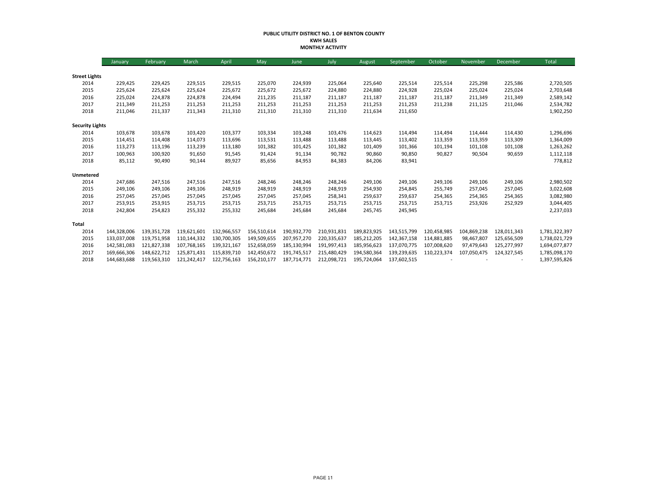#### **PUBLIC UTILITY DISTRICT NO. 1 OF BENTON COUNTY KWH SALES MONTHLY ACTIVITY**

|                        | January     | February    | March       | April       | May         | June        | July        | August      | September   | October     | November    | December    | Total         |
|------------------------|-------------|-------------|-------------|-------------|-------------|-------------|-------------|-------------|-------------|-------------|-------------|-------------|---------------|
|                        |             |             |             |             |             |             |             |             |             |             |             |             |               |
| <b>Street Lights</b>   |             |             |             |             |             |             |             |             |             |             |             |             |               |
| 2014                   | 229,425     | 229,425     | 229,515     | 229,515     | 225,070     | 224,939     | 225,064     | 225,640     | 225,514     | 225,514     | 225,298     | 225,586     | 2,720,505     |
| 2015                   | 225,624     | 225,624     | 225,624     | 225,672     | 225,672     | 225,672     | 224,880     | 224,880     | 224,928     | 225,024     | 225,024     | 225,024     | 2,703,648     |
| 2016                   | 225,024     | 224,878     | 224,878     | 224,494     | 211,235     | 211,187     | 211,187     | 211,187     | 211,187     | 211,187     | 211,349     | 211,349     | 2,589,142     |
| 2017                   | 211,349     | 211,253     | 211,253     | 211,253     | 211,253     | 211,253     | 211,253     | 211,253     | 211,253     | 211,238     | 211,125     | 211,046     | 2,534,782     |
| 2018                   | 211,046     | 211,337     | 211,343     | 211,310     | 211,310     | 211,310     | 211,310     | 211,634     | 211,650     |             |             |             | 1,902,250     |
| <b>Security Lights</b> |             |             |             |             |             |             |             |             |             |             |             |             |               |
| 2014                   | 103,678     | 103,678     | 103,420     | 103,377     | 103,334     | 103,248     | 103,476     | 114,623     | 114,494     | 114,494     | 114,444     | 114,430     | 1,296,696     |
| 2015                   | 114,451     | 114,408     | 114,073     | 113,696     | 113,531     | 113,488     | 113,488     | 113,445     | 113,402     | 113,359     | 113,359     | 113,309     | 1,364,009     |
| 2016                   | 113,273     | 113,196     | 113,239     | 113,180     | 101,382     | 101,425     | 101,382     | 101,409     | 101,366     | 101,194     | 101,108     | 101,108     | 1,263,262     |
| 2017                   | 100,963     | 100,920     | 91,650      | 91,545      | 91,424      | 91,134      | 90,782      | 90,860      | 90,850      | 90,827      | 90,504      | 90,659      | 1,112,118     |
| 2018                   | 85,112      | 90,490      | 90,144      | 89,927      | 85,656      | 84,953      | 84,383      | 84,206      | 83,941      |             |             |             | 778,812       |
| Unmetered              |             |             |             |             |             |             |             |             |             |             |             |             |               |
| 2014                   | 247,686     | 247,516     | 247,516     | 247,516     | 248,246     | 248,246     | 248,246     | 249,106     | 249,106     | 249,106     | 249,106     | 249,106     | 2,980,502     |
| 2015                   | 249,106     | 249,106     | 249,106     | 248,919     | 248,919     | 248,919     | 248,919     | 254,930     | 254,845     | 255,749     | 257,045     | 257,045     | 3,022,608     |
| 2016                   | 257,045     | 257,045     | 257,045     | 257,045     | 257,045     | 257,045     | 258,341     | 259,637     | 259,637     | 254,365     | 254,365     | 254,365     | 3,082,980     |
| 2017                   | 253,915     | 253,915     | 253,715     | 253,715     | 253,715     | 253,715     | 253,715     | 253,715     | 253,715     | 253,715     | 253,926     | 252,929     | 3,044,405     |
| 2018                   | 242,804     | 254,823     | 255,332     | 255,332     | 245,684     | 245,684     | 245,684     | 245,745     | 245,945     |             |             |             | 2,237,033     |
| Total                  |             |             |             |             |             |             |             |             |             |             |             |             |               |
| 2014                   | 144,328,006 | 139,351,728 | 119,621,601 | 132,966,557 | 156,510,614 | 190,932,770 | 210,931,831 | 189,823,925 | 143,515,799 | 120,458,985 | 104,869,238 | 128,011,343 | 1,781,322,397 |
| 2015                   | 133,037,008 | 119,751,958 | 110,144,332 | 130,700,305 | 149,509,655 | 207,957,270 | 220,335,637 | 185,212,205 | 142,367,158 | 114,881,885 | 98,467,807  | 125,656,509 | 1,738,021,729 |
| 2016                   | 142,581,083 | 121,827,338 | 107.768.165 | 139,321,167 | 152,658,059 | 185,130,994 | 191,997,413 | 185,956,623 | 137,070,775 | 107,008,620 | 97,479,643  | 125,277,997 | 1,694,077,877 |
| 2017                   | 169,666,306 | 148,622,712 | 125,871,431 | 115,839,710 | 142,450,672 | 191.745.517 | 215,480,429 | 194,580,364 | 139,239,635 | 110,223,374 | 107,050,475 | 124,327,545 | 1,785,098,170 |
| 2018                   | 144,683,688 | 119,563,310 | 121,242,417 | 122,756,163 | 156,210,177 | 187,714,771 | 212,098,721 | 195,724,064 | 137,602,515 |             |             |             | 1,397,595,826 |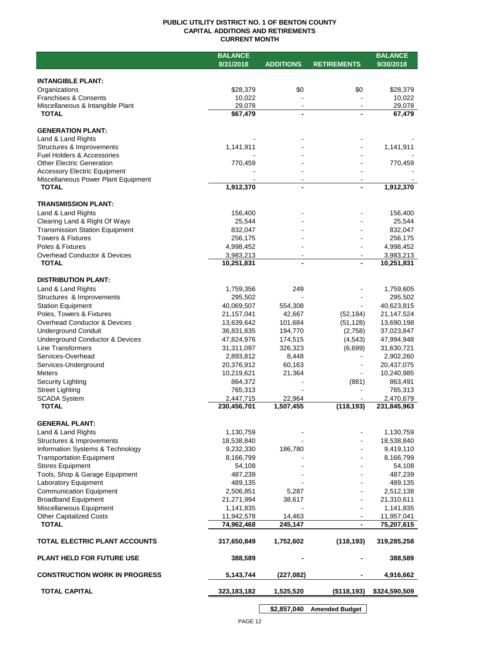## **PUBLIC UTILITY DISTRICT NO. 1 OF BENTON COUNTY CAPITAL ADDITIONS AND RETIREMENTS CURRENT MONTH**

|                                                                        | <b>BALANCE</b>           |                    |                     | <b>BALANCE</b>           |
|------------------------------------------------------------------------|--------------------------|--------------------|---------------------|--------------------------|
|                                                                        | 8/31/2018                | <b>ADDITIONS</b>   | <b>RETIREMENTS</b>  | 9/30/2018                |
|                                                                        |                          |                    |                     |                          |
| <b>INTANGIBLE PLANT:</b>                                               |                          |                    |                     |                          |
| Organizations                                                          | \$28,379                 | \$0                | \$0                 | \$28,379                 |
| <b>Franchises &amp; Consents</b><br>Miscellaneous & Intangible Plant   | 10,022<br>29,078         | $\blacksquare$     |                     | 10,022<br>29,078         |
| <b>TOTAL</b>                                                           | \$67,479                 | $\blacksquare$     |                     | 67,479                   |
|                                                                        |                          |                    |                     |                          |
| <b>GENERATION PLANT:</b>                                               |                          |                    |                     |                          |
| Land & Land Rights                                                     |                          |                    |                     |                          |
| Structures & Improvements                                              | 1,141,911                |                    |                     | 1,141,911                |
| <b>Fuel Holders &amp; Accessories</b>                                  |                          |                    |                     |                          |
| <b>Other Electric Generation</b>                                       | 770,459                  |                    |                     | 770,459                  |
| <b>Accessory Electric Equipment</b>                                    |                          |                    |                     |                          |
| Miscellaneous Power Plant Equipment<br><b>TOTAL</b>                    |                          | $\blacksquare$     |                     |                          |
|                                                                        | 1,912,370                |                    |                     | 1,912,370                |
| <b>TRANSMISSION PLANT:</b>                                             |                          |                    |                     |                          |
| Land & Land Rights                                                     | 156,400                  |                    |                     | 156,400                  |
| Clearing Land & Right Of Ways                                          | 25,544                   |                    |                     | 25,544                   |
| <b>Transmission Station Equipment</b>                                  | 832,047                  |                    |                     | 832,047                  |
| <b>Towers &amp; Fixtures</b>                                           | 256,175                  |                    |                     | 256,175                  |
| Poles & Fixtures                                                       | 4,998,452                |                    |                     | 4,998,452                |
| Overhead Conductor & Devices                                           | 3,983,213                |                    |                     | 3,983,213                |
| <b>TOTAL</b>                                                           | 10,251,831               |                    |                     | 10,251,831               |
|                                                                        |                          |                    |                     |                          |
| <b>DISTRIBUTION PLANT:</b>                                             |                          |                    |                     |                          |
| Land & Land Rights                                                     | 1,759,356                | 249                |                     | 1,759,605                |
| Structures & Improvements                                              | 295,502                  |                    |                     | 295,502                  |
| <b>Station Equipment</b>                                               | 40,069,507               | 554,308            |                     | 40,623,815               |
| Poles, Towers & Fixtures                                               | 21,157,041               | 42,667             | (52, 184)           | 21, 147, 524             |
| Overhead Conductor & Devices                                           | 13,639,642               | 101,684            | (51, 128)           | 13,690,198               |
| <b>Underground Conduit</b>                                             | 36,831,835               | 194,770            | (2,758)             | 37,023,847               |
| <b>Underground Conductor &amp; Devices</b><br><b>Line Transformers</b> | 47,824,976<br>31,311,097 | 174,515<br>326,323 | (4, 543)<br>(6,699) | 47,994,948<br>31,630,721 |
| Services-Overhead                                                      | 2,893,812                | 8,448              |                     | 2,902,260                |
| Services-Underground                                                   | 20,376,912               | 60,163             |                     | 20,437,075               |
| <b>Meters</b>                                                          | 10,219,621               | 21,364             |                     | 10,240,985               |
| Security Lighting                                                      | 864,372                  |                    | (881)               | 863,491                  |
| <b>Street Lighting</b>                                                 | 765,313                  |                    |                     | 765,313                  |
| <b>SCADA System</b>                                                    | 2,447,715                | 22,964             |                     | 2,470,679                |
| <b>TOTAL</b>                                                           | 230,456,701              | 1,507,455          | (118, 193)          | 231,845,963              |
|                                                                        |                          |                    |                     |                          |
| <b>GENERAL PLANT:</b>                                                  |                          |                    |                     |                          |
| Land & Land Rights                                                     | 1,130,759                |                    |                     | 1,130,759                |
| Structures & Improvements                                              | 18,538,840               |                    |                     | 18,538,840               |
| Information Systems & Technology                                       | 9,232,330                | 186,780            |                     | 9,419,110                |
| <b>Transportation Equipment</b>                                        | 8,166,799                |                    |                     | 8,166,799                |
| <b>Stores Equipment</b>                                                | 54,108                   |                    |                     | 54,108                   |
| Tools, Shop & Garage Equipment                                         | 487,239                  |                    |                     | 487,239                  |
| Laboratory Equipment<br><b>Communication Equipment</b>                 | 489,135<br>2,506,851     | 5,287              |                     | 489,135                  |
| <b>Broadband Equipment</b>                                             | 21,271,994               | 38,617             |                     | 2,512,138<br>21,310,611  |
| Miscellaneous Equipment                                                | 1,141,835                |                    |                     | 1,141,835                |
| <b>Other Capitalized Costs</b>                                         | 11,942,578               | 14,463             |                     | 11,957,041               |
| <b>TOTAL</b>                                                           | 74,962,468               | 245,147            |                     | 75,207,615               |
|                                                                        |                          |                    |                     |                          |
| TOTAL ELECTRIC PLANT ACCOUNTS                                          | 317,650,849              | 1,752,602          | (118, 193)          | 319,285,258              |
| <b>PLANT HELD FOR FUTURE USE</b>                                       | 388,589                  |                    |                     | 388,589                  |
| <b>CONSTRUCTION WORK IN PROGRESS</b>                                   | 5,143,744                | (227, 082)         |                     | 4,916,662                |
| <b>TOTAL CAPITAL</b>                                                   | 323, 183, 182            | 1,525,520          | (\$118,193)         | \$324,590,509            |
|                                                                        |                          |                    |                     |                          |

**\$2,857,040 Amended Budget**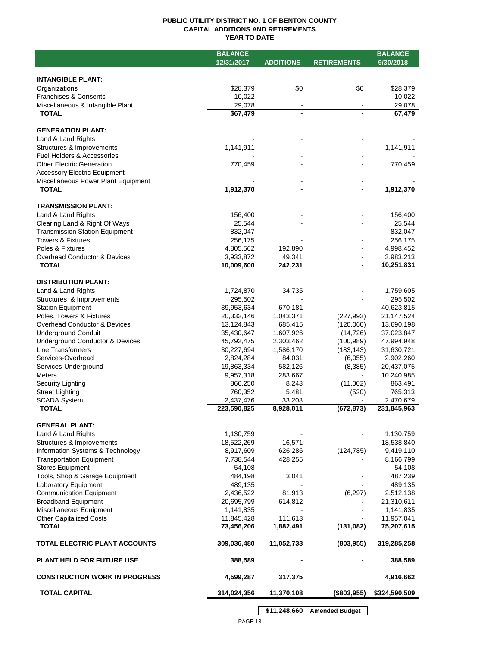## **PUBLIC UTILITY DISTRICT NO. 1 OF BENTON COUNTY CAPITAL ADDITIONS AND RETIREMENTS YEAR TO DATE**

|                                       | <b>BALANCE</b> |                  |                    | <b>BALANCE</b> |
|---------------------------------------|----------------|------------------|--------------------|----------------|
|                                       | 12/31/2017     | <b>ADDITIONS</b> | <b>RETIREMENTS</b> | 9/30/2018      |
|                                       |                |                  |                    |                |
| <b>INTANGIBLE PLANT:</b>              |                |                  |                    |                |
| Organizations                         | \$28,379       | \$0              | \$0                | \$28,379       |
| <b>Franchises &amp; Consents</b>      | 10,022         |                  |                    | 10,022         |
| Miscellaneous & Intangible Plant      | 29,078         |                  |                    | 29,078         |
| <b>TOTAL</b>                          | \$67,479       |                  |                    | 67,479         |
|                                       |                |                  |                    |                |
| <b>GENERATION PLANT:</b>              |                |                  |                    |                |
| Land & Land Rights                    |                |                  |                    |                |
| Structures & Improvements             | 1,141,911      |                  |                    | 1,141,911      |
| Fuel Holders & Accessories            |                |                  |                    |                |
| <b>Other Electric Generation</b>      | 770,459        |                  |                    | 770,459        |
| <b>Accessory Electric Equipment</b>   |                |                  |                    |                |
| Miscellaneous Power Plant Equipment   |                |                  |                    |                |
| <b>TOTAL</b>                          | 1,912,370      | -                |                    | 1,912,370      |
|                                       |                |                  |                    |                |
| <b>TRANSMISSION PLANT:</b>            |                |                  |                    |                |
| Land & Land Rights                    | 156,400        |                  |                    | 156,400        |
| Clearing Land & Right Of Ways         | 25,544         |                  |                    | 25,544         |
| <b>Transmission Station Equipment</b> | 832,047        |                  |                    | 832,047        |
| <b>Towers &amp; Fixtures</b>          | 256,175        |                  |                    | 256,175        |
| Poles & Fixtures                      | 4,805,562      | 192,890          |                    | 4,998,452      |
| Overhead Conductor & Devices          | 3,933,872      | 49,341           |                    | 3,983,213      |
| <b>TOTAL</b>                          | 10,009,600     | 242,231          |                    | 10,251,831     |
|                                       |                |                  |                    |                |
| <b>DISTRIBUTION PLANT:</b>            |                |                  |                    |                |
| Land & Land Rights                    | 1,724,870      | 34,735           |                    | 1,759,605      |
| Structures & Improvements             | 295,502        |                  |                    | 295,502        |
| <b>Station Equipment</b>              | 39,953,634     | 670,181          |                    | 40,623,815     |
| Poles, Towers & Fixtures              | 20,332,146     | 1,043,371        | (227, 993)         | 21,147,524     |
| Overhead Conductor & Devices          | 13,124,843     | 685,415          | (120,060)          | 13,690,198     |
| <b>Underground Conduit</b>            | 35,430,647     | 1,607,926        | (14, 726)          | 37,023,847     |
| Underground Conductor & Devices       | 45,792,475     | 2,303,462        | (100, 989)         | 47,994,948     |
| Line Transformers                     | 30,227,694     | 1,586,170        | (183, 143)         | 31,630,721     |
| Services-Overhead                     | 2,824,284      | 84,031           | (6,055)            | 2,902,260      |
| Services-Underground                  | 19,863,334     | 582,126          | (8,385)            | 20,437,075     |
| Meters                                | 9,957,318      | 283,667          |                    | 10,240,985     |
| Security Lighting                     | 866,250        | 8,243            | (11,002)           | 863,491        |
| <b>Street Lighting</b>                | 760,352        | 5,481            | (520)              | 765,313        |
| <b>SCADA System</b>                   | 2,437,476      | 33,203           |                    | 2,470,679      |
| <b>TOTAL</b>                          | 223,590,825    | 8,928,011        | (672, 873)         | 231,845,963    |
|                                       |                |                  |                    |                |
| <b>GENERAL PLANT:</b>                 |                |                  |                    |                |
| Land & Land Rights                    | 1,130,759      |                  |                    | 1,130,759      |
| Structures & Improvements             | 18,522,269     | 16,571           |                    | 18,538,840     |
| Information Systems & Technology      | 8,917,609      | 626,286          | (124, 785)         | 9,419,110      |
| <b>Transportation Equipment</b>       | 7,738,544      | 428,255          |                    | 8,166,799      |
| <b>Stores Equipment</b>               | 54,108         |                  |                    | 54,108         |
| Tools, Shop & Garage Equipment        | 484,198        | 3,041            |                    | 487,239        |
| <b>Laboratory Equipment</b>           | 489,135        |                  |                    | 489,135        |
| <b>Communication Equipment</b>        | 2,436,522      | 81,913           | (6, 297)           | 2,512,138      |
| <b>Broadband Equipment</b>            | 20,695,799     | 614,812          |                    | 21,310,611     |
| Miscellaneous Equipment               | 1,141,835      |                  |                    | 1,141,835      |
| <b>Other Capitalized Costs</b>        | 11,845,428     | 111,613          |                    | 11,957,041     |
| <b>TOTAL</b>                          | 73,456,206     | 1,882,491        | (131, 082)         | 75,207,615     |
|                                       |                |                  |                    |                |
| <b>TOTAL ELECTRIC PLANT ACCOUNTS</b>  | 309,036,480    | 11,052,733       | (803, 955)         | 319,285,258    |
|                                       |                |                  |                    |                |
| <b>PLANT HELD FOR FUTURE USE</b>      | 388,589        |                  |                    | 388,589        |
|                                       |                |                  |                    |                |
| <b>CONSTRUCTION WORK IN PROGRESS</b>  | 4,599,287      | 317,375          |                    | 4,916,662      |
| <b>TOTAL CAPITAL</b>                  |                |                  | (\$803,955)        |                |
|                                       | 314,024,356    | 11,370,108       |                    | \$324,590,509  |
|                                       |                |                  |                    |                |

**\$11,248,660 Amended Budget**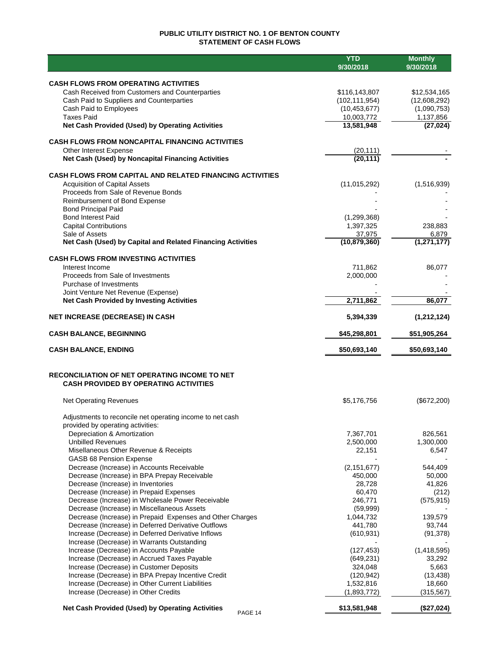## **PUBLIC UTILITY DISTRICT NO. 1 OF BENTON COUNTY STATEMENT OF CASH FLOWS**

|                                                                                                   | <b>YTD</b><br>9/30/2018  | <b>Monthly</b><br>9/30/2018 |
|---------------------------------------------------------------------------------------------------|--------------------------|-----------------------------|
|                                                                                                   |                          |                             |
| <b>CASH FLOWS FROM OPERATING ACTIVITIES</b>                                                       |                          |                             |
| Cash Received from Customers and Counterparties                                                   | \$116,143,807            | \$12,534,165                |
| Cash Paid to Suppliers and Counterparties                                                         | (102, 111, 954)          | (12,608,292)                |
| Cash Paid to Employees<br><b>Taxes Paid</b>                                                       | (10, 453, 677)           | (1,090,753)                 |
| Net Cash Provided (Used) by Operating Activities                                                  | 10,003,772<br>13,581,948 | 1,137,856<br>(27, 024)      |
|                                                                                                   |                          |                             |
| <b>CASH FLOWS FROM NONCAPITAL FINANCING ACTIVITIES</b>                                            |                          |                             |
| Other Interest Expense                                                                            | (20, 111)                |                             |
| Net Cash (Used) by Noncapital Financing Activities                                                | (20, 111)                |                             |
| <b>CASH FLOWS FROM CAPITAL AND RELATED FINANCING ACTIVITIES</b>                                   |                          |                             |
| <b>Acquisition of Capital Assets</b>                                                              | (11, 015, 292)           | (1,516,939)                 |
| Proceeds from Sale of Revenue Bonds                                                               |                          |                             |
| Reimbursement of Bond Expense                                                                     |                          |                             |
| <b>Bond Principal Paid</b>                                                                        |                          |                             |
| <b>Bond Interest Paid</b>                                                                         | (1, 299, 368)            |                             |
| <b>Capital Contributions</b><br>Sale of Assets                                                    | 1,397,325<br>37,975      | 238,883<br>6,879            |
| Net Cash (Used) by Capital and Related Financing Activities                                       | (10, 879, 360)           | (1,271,177)                 |
|                                                                                                   |                          |                             |
| <b>CASH FLOWS FROM INVESTING ACTIVITIES</b>                                                       |                          |                             |
| Interest Income                                                                                   | 711,862                  | 86.077                      |
| Proceeds from Sale of Investments                                                                 | 2,000,000                |                             |
| Purchase of Investments<br>Joint Venture Net Revenue (Expense)                                    |                          |                             |
| <b>Net Cash Provided by Investing Activities</b>                                                  | 2,711,862                | 86,077                      |
|                                                                                                   |                          |                             |
| <b>NET INCREASE (DECREASE) IN CASH</b>                                                            | 5,394,339                | (1,212,124)                 |
| <b>CASH BALANCE, BEGINNING</b>                                                                    | \$45,298,801             | \$51,905,264                |
| <b>CASH BALANCE, ENDING</b>                                                                       | \$50,693,140             | \$50,693,140                |
| RECONCILIATION OF NET OPERATING INCOME TO NET                                                     |                          |                             |
| <b>CASH PROVIDED BY OPERATING ACTIVITIES</b>                                                      |                          |                             |
| <b>Net Operating Revenues</b>                                                                     | \$5,176,756              | (\$672,200)                 |
| Adjustments to reconcile net operating income to net cash                                         |                          |                             |
| provided by operating activities:                                                                 |                          |                             |
| Depreciation & Amortization                                                                       | 7,367,701                | 826,561                     |
| <b>Unbilled Revenues</b>                                                                          | 2,500,000                | 1,300,000                   |
| Misellaneous Other Revenue & Receipts                                                             | 22,151                   | 6,547                       |
| GASB 68 Pension Expense<br>Decrease (Increase) in Accounts Receivable                             | (2, 151, 677)            | 544,409                     |
| Decrease (Increase) in BPA Prepay Receivable                                                      | 450,000                  | 50,000                      |
| Decrease (Increase) in Inventories                                                                | 28,728                   | 41,826                      |
| Decrease (Increase) in Prepaid Expenses                                                           | 60,470                   | (212)                       |
| Decrease (Increase) in Wholesale Power Receivable                                                 | 246,771                  | (575, 915)                  |
| Decrease (Increase) in Miscellaneous Assets                                                       | (59,999)                 |                             |
| Decrease (Increase) in Prepaid Expenses and Other Charges                                         | 1,044,732                | 139,579                     |
| Decrease (Increase) in Deferred Derivative Outflows                                               | 441,780                  | 93,744                      |
| Increase (Decrease) in Deferred Derivative Inflows<br>Increase (Decrease) in Warrants Outstanding | (610, 931)               | (91, 378)                   |
| Increase (Decrease) in Accounts Payable                                                           | (127, 453)               | (1,418,595)                 |
| Increase (Decrease) in Accrued Taxes Payable                                                      | (649, 231)               | 33,292                      |
| Increase (Decrease) in Customer Deposits                                                          | 324,048                  | 5,663                       |
| Increase (Decrease) in BPA Prepay Incentive Credit                                                | (120, 942)               | (13, 438)                   |
| Increase (Decrease) in Other Current Liabilities                                                  | 1,532,816                | 18,660                      |
| Increase (Decrease) in Other Credits                                                              | (1,893,772)              | (315, 567)                  |
| <b>Net Cash Provided (Used) by Operating Activities</b><br>PAGE 14                                | \$13,581,948             | (\$27,024)                  |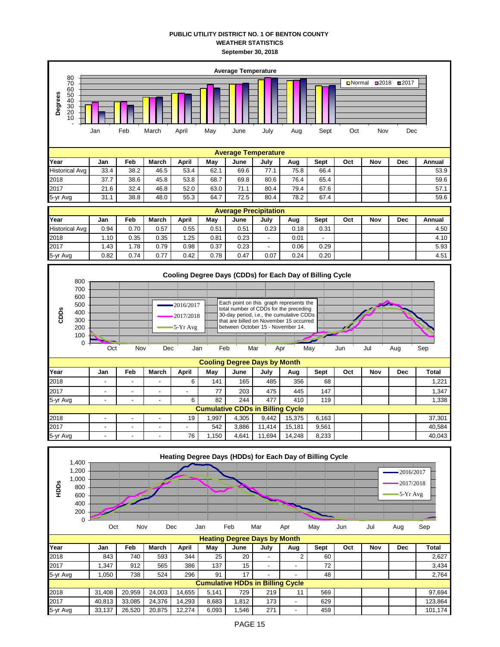## **PUBLIC UTILITY DISTRICT NO. 1 OF BENTON COUNTY WEATHER STATISTICS September 30, 2018**

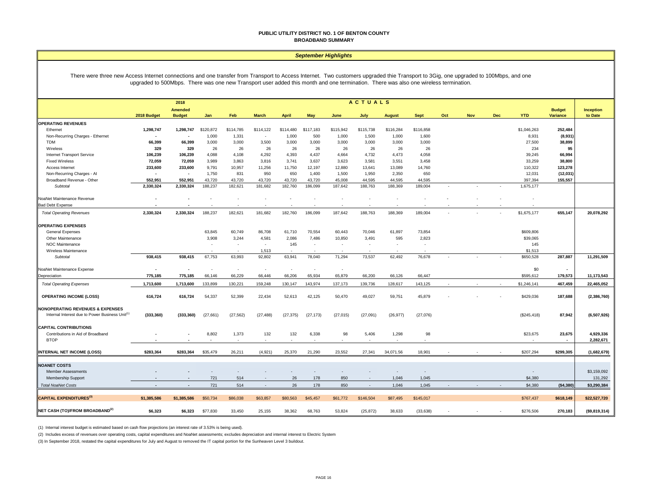#### **PUBLIC UTILITY DISTRICT NO. 1 OF BENTON COUNTY BROADBAND SUMMARY**

#### *September Highlights*

There were three new Access Internet connections and one transfer from Transport to Access Internet. Two customers upgraded thie Transport to 3Gig, one upgraded to 100Mbps, and one upgraded to 500Mbps. There was one new Transport user added this month and one termination. There was also one wireless termination.

|                                                             | <b>ACTUALS</b><br>2018 |                                 |                          |                          |              |                          |                          |                          |           |                |                                   |     |            |            |             |                                  |                        |
|-------------------------------------------------------------|------------------------|---------------------------------|--------------------------|--------------------------|--------------|--------------------------|--------------------------|--------------------------|-----------|----------------|-----------------------------------|-----|------------|------------|-------------|----------------------------------|------------------------|
|                                                             | 2018 Budget            | <b>Amended</b><br><b>Budget</b> | Jan                      | Feb                      | <b>March</b> | <b>April</b>             | May                      | June                     | July      | <b>August</b>  | <b>Sept</b>                       | Oct | <b>Nov</b> | <b>Dec</b> | <b>YTD</b>  | <b>Budget</b><br><b>Variance</b> | Inception<br>to Date   |
| <b>OPERATING REVENUES</b>                                   |                        |                                 |                          |                          |              |                          |                          |                          |           |                |                                   |     |            |            |             |                                  |                        |
| Ethernet                                                    | 1,298,747              | 1,298,747                       | \$120,872                | \$114,785                | \$114,122    | \$114,480                | \$117,183                | \$115,942                | \$115,738 | \$116,284      | \$116,858                         |     |            |            | \$1,046,263 | 252,484                          |                        |
| Non-Recurring Charges - Ethernet                            | $\blacksquare$         |                                 | 1,000                    | 1,331                    | $\sim$       | 1,000                    | 500                      | 1,000                    | 1,500     | 1,000          | 1,600                             |     |            |            | 8,931       | (8,931)                          |                        |
| <b>TDM</b>                                                  | 66,399                 | 66,399                          | 3,000                    | 3,000                    | 3,500        | 3,000                    | 3,000                    | 3,000                    | 3,000     | 3,000          | 3,000                             |     |            |            | 27,500      | 38,899                           |                        |
| Wireless                                                    | 329                    | 329                             | 26                       | 26                       | 26           | 26                       | 26                       | 26                       | 26        | 26             | 26                                |     |            |            | 234         | 95                               |                        |
| <b>Internet Transport Service</b>                           | 106,239                | 106,239                         | 4,088                    | 4,108                    | 4,292        | 4,393                    | 4,437                    | 4,664                    | 4,732     | 4,473          | 4,058                             |     |            |            | 39,245      | 66,994                           |                        |
| <b>Fixed Wireless</b>                                       | 72,059                 | 72,059                          | 3,989                    | 3,863                    | 3,816        | 3,741                    | 3,637                    | 3,623                    | 3,581     | 3,551          | 3,458                             |     |            |            | 33,259      | 38,800                           |                        |
| Access Internet                                             | 233,600                | 233,600                         | 9,791                    | 10,957                   | 11,256       | 11,750                   | 12,197                   | 12,880                   | 13,641    | 13,089         | 14,760                            |     |            |            | 110,322     | 123,278                          |                        |
| Non-Recurring Charges - Al                                  | $\blacksquare$         | $\overline{\phantom{a}}$        | 1,750                    | 831                      | 950          | 650                      | 1,400                    | 1,500                    | 1,950     | 2,350          | 650                               |     |            |            | 12,031      | (12, 031)                        |                        |
| Broadband Revenue - Other                                   | 552,951                | 552,951                         | 43,720                   | 43,720                   | 43.720       | 43.720                   | 43,720                   | 45,008                   | 44.595    | 44,595         | 44,595                            |     |            |            | 397,394     | 155,557                          |                        |
| Subtotal                                                    | 2,330,324              | 2,330,324                       | 188,237                  | 182,621                  | 181,682      | 182,760                  | 186,099                  | 187,642                  | 188,763   | 188,369        | 189,004                           |     |            |            | 1,675,177   |                                  |                        |
| NoaNet Maintenance Revenue                                  | ٠                      |                                 |                          |                          |              |                          |                          |                          |           |                |                                   |     |            |            |             |                                  |                        |
| <b>Bad Debt Expense</b>                                     |                        |                                 |                          |                          |              |                          |                          |                          |           |                |                                   |     |            |            |             |                                  |                        |
| <b>Total Operating Revenues</b>                             | 2,330,324              | 2,330,324                       | 188,237                  | 182,621                  | 181,682      | 182,760                  | 186,099                  | 187,642                  | 188,763   | 188,369        | 189,004                           |     |            |            | \$1,675,177 | 655,147                          | 20,078,292             |
| <b>OPERATING EXPENSES</b>                                   |                        |                                 |                          |                          |              |                          |                          |                          |           |                |                                   |     |            |            |             |                                  |                        |
| General Expenses                                            |                        |                                 | 63,845                   | 60,749                   | 86,708       | 61,710                   | 70,554                   | 60,443                   | 70,046    | 61,897         | 73,854                            |     |            |            | \$609,806   |                                  |                        |
| Other Maintenance                                           |                        |                                 | 3,908                    | 3,244                    | 4,581        | 2,086                    | 7,486                    | 10,850                   | 3,491     | 595            | 2,823                             |     |            |            | \$39,065    |                                  |                        |
| <b>NOC Maintenance</b>                                      |                        |                                 | $\overline{\phantom{a}}$ |                          | $\sim$       | 145                      | $\overline{\phantom{a}}$ | $\overline{\phantom{a}}$ |           | ٠              | $\overline{\phantom{a}}$          |     |            |            | 145         |                                  |                        |
| Wireless Maintenance                                        |                        |                                 |                          |                          | 1.513        |                          |                          |                          |           |                |                                   |     |            |            | \$1,513     |                                  |                        |
| <b>Subtotal</b>                                             | 938,415                | 938,415                         | 67,753                   | 63,993                   | 92,802       | 63,941                   | 78,040                   | 71.294                   | 73,537    | 62,492         | 76,678                            |     |            |            | \$650,528   | 287,887                          | 11,291,509             |
| NoaNet Maintenance Expense                                  | $\blacksquare$         |                                 | $\overline{\phantom{a}}$ | $\overline{\phantom{a}}$ |              | $\overline{\phantom{a}}$ | $\sim$                   | $\overline{\phantom{a}}$ |           |                |                                   |     |            |            | \$0         |                                  |                        |
| Depreciation                                                | 775,185                | 775,185                         | 66,146                   | 66,229                   | 66,446       | 66,206                   | 65,934                   | 65,879                   | 66,200    | 66,126         | 66,447                            |     |            |            | \$595,612   | 179,573                          | 11,173,543             |
| <b>Total Operating Expenses</b>                             | 1,713,600              | 1,713,600                       | 133,899                  | 130,221                  | 159,248      | 130,147                  | 143,974                  | 137,173                  | 139,736   | 128,617        | 143,125                           |     |            |            | \$1,246,141 | 467,459                          | 22,465,052             |
| <b>OPERATING INCOME (LOSS)</b>                              | 616,724                | 616,724                         | 54,337                   | 52,399                   | 22,434       | 52,613                   | 42,125                   | 50,470                   | 49,027    | 59,751         | 45,879                            |     |            |            | \$429,036   | 187,688                          | (2,386,760)            |
| <b>NONOPERATING REVENUES &amp; EXPENSES</b>                 |                        |                                 |                          |                          |              |                          |                          |                          |           |                |                                   |     |            |            |             |                                  |                        |
| Internal Interest due to Power Business Unit <sup>(1)</sup> | (333, 360)             | (333, 360)                      | (27, 661)                | (27, 562)                | (27, 488)    | (27, 375)                | (27, 173)                | (27, 015)                | (27, 091) | (26, 977)      | (27,076)                          |     |            |            | (\$245,418) | 87,942                           | (6,507,926)            |
| <b>CAPITAL CONTRIBUTIONS</b>                                |                        |                                 |                          |                          |              |                          |                          |                          |           |                |                                   |     |            |            |             |                                  |                        |
| Contributions in Aid of Broadband                           |                        |                                 | 8,802                    | 1,373                    | 132          | 132                      | 6,338                    | 98                       | 5,406     | 1,298          | 98                                |     |            |            | \$23,675    | 23,675                           | 4,929,336              |
| <b>BTOP</b>                                                 |                        |                                 |                          | $\overline{\phantom{a}}$ |              |                          | $\overline{a}$           |                          |           | $\overline{a}$ |                                   |     |            |            |             |                                  | 2,282,671              |
| <b>INTERNAL NET INCOME (LOSS)</b>                           | \$283.364              | \$283.364                       | \$35,479                 | 26,211                   | (4.921)      | 25.370                   | 21.290                   | 23.552                   | 27.341    | 34.071.56      | 18.901                            |     |            |            | \$207,294   | \$299,305                        | (1,682,679)            |
|                                                             |                        |                                 |                          |                          |              |                          |                          |                          |           |                |                                   |     |            |            |             |                                  |                        |
| <b>NOANET COSTS</b>                                         |                        |                                 |                          |                          |              |                          |                          |                          |           |                |                                   |     |            |            |             |                                  |                        |
| <b>Member Assessments</b>                                   |                        |                                 | 721                      | 514                      |              | 26                       | 178                      | 850                      |           | 1,046          | $\overline{\phantom{a}}$<br>1,045 |     |            |            | \$4,380     |                                  | \$3,159,092<br>131,292 |
| <b>Membership Support</b>                                   |                        | $\overline{a}$                  |                          |                          |              |                          |                          |                          |           |                |                                   |     |            |            |             |                                  |                        |
| <b>Total NoaNet Costs</b>                                   | ٠                      |                                 | 721                      | 514                      | $\sim$       | 26                       | 178                      | 850                      | $\sim$    | 1,046          | 1,045                             |     |            |            | \$4,380     | (\$4,380)                        | \$3,290,384            |
| <b>CAPITAL EXPENDITURES</b> <sup>(3)</sup>                  | \$1,385,586            | \$1,385,586                     | \$50,734                 | \$86,038                 | \$63,857     | \$80,563                 | \$45,457                 | \$61,772                 | \$146,504 | \$87,495       | \$145,017                         |     |            |            | \$767,437   | \$618,149                        | \$22,527,720           |
| NET CASH (TO)/FROM BROADBAND <sup>(2)</sup>                 | \$6,323                | \$6,323                         | \$77,830                 | 33,450                   | 25,155       | 38,362                   | 68,763                   | 53,824                   | (25, 872) | 38,633         | (33, 638)                         |     |            |            | \$276,506   | 270,183                          | (\$9,819,314)          |

(1) Internal interest budget is estimated based on cash flow projections (an interest rate of 3.53% is being used).

(2) Includes excess of revenues over operating costs, capital expenditures and NoaNet assessments; excludes depreciation and internal interest to Electric System

(3) In September 2018, restated the capital expenditures for July and August to removed the IT capital portion for the Sunheaven Level 3 buildout.